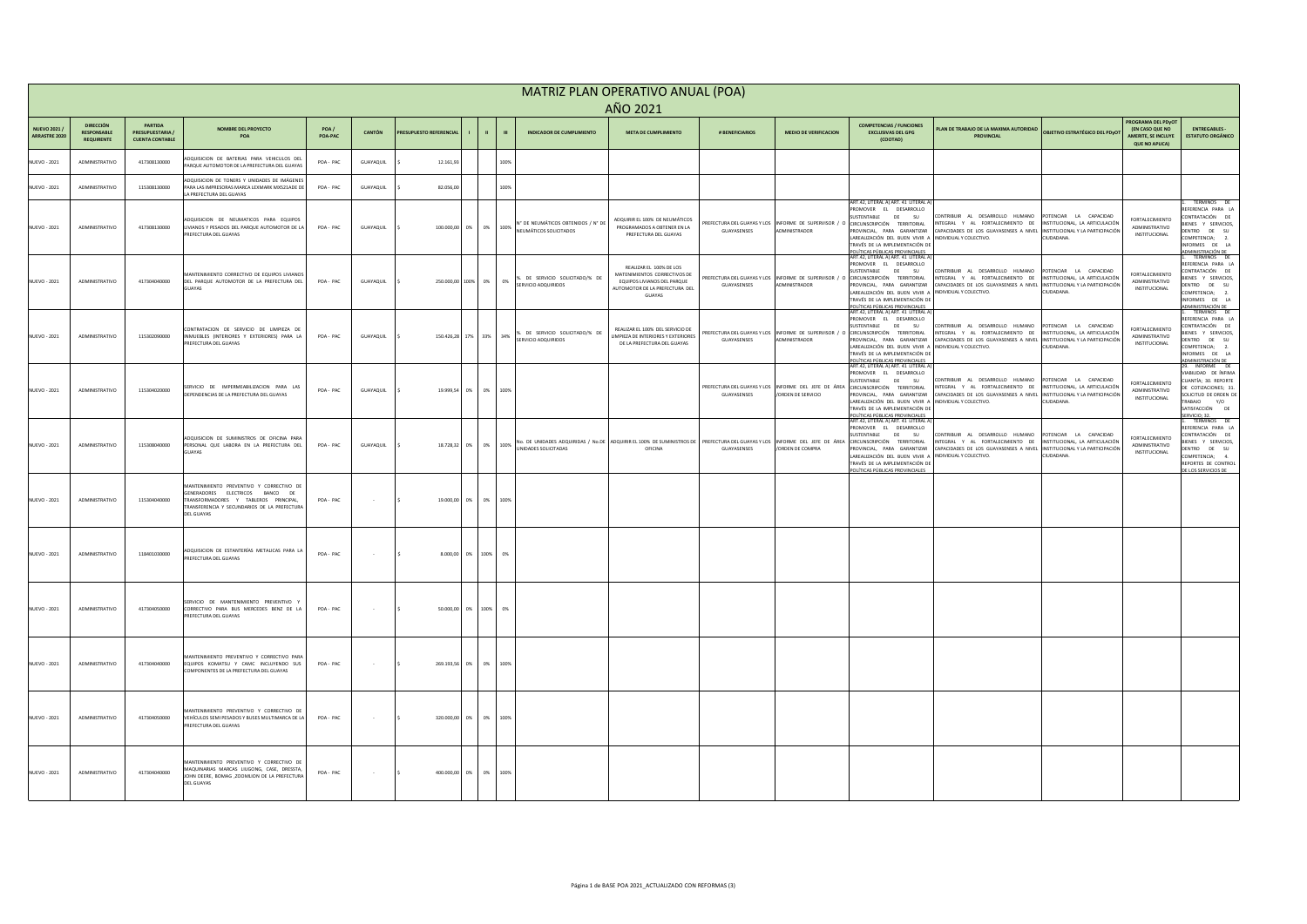|                               | MATRIZ PLAN OPERATIVO ANUAL (POA)<br>AÑO 2021 |                                                 |                                                                                                                                                                      |                 |                          |                                |           |                       |      |                                                                                        |                                                                                                        |                                                                    |                              |                                                                                                                                                                       |                                                                                                                                                                                                                                                                                                                                             |                                                                               |                                                                              |
|-------------------------------|-----------------------------------------------|-------------------------------------------------|----------------------------------------------------------------------------------------------------------------------------------------------------------------------|-----------------|--------------------------|--------------------------------|-----------|-----------------------|------|----------------------------------------------------------------------------------------|--------------------------------------------------------------------------------------------------------|--------------------------------------------------------------------|------------------------------|-----------------------------------------------------------------------------------------------------------------------------------------------------------------------|---------------------------------------------------------------------------------------------------------------------------------------------------------------------------------------------------------------------------------------------------------------------------------------------------------------------------------------------|-------------------------------------------------------------------------------|------------------------------------------------------------------------------|
|                               | <b>DIRECCIÓN</b>                              | <b>PARTIDA</b>                                  |                                                                                                                                                                      |                 |                          |                                |           |                       |      |                                                                                        |                                                                                                        |                                                                    |                              | <b>COMPETENCIAS / FUNCIONES</b>                                                                                                                                       |                                                                                                                                                                                                                                                                                                                                             | PROGRAMA DEL PDyOT                                                            |                                                                              |
| NUEVO 2021 /<br>ARRASTRE 2020 | <b>RESPONSABLE</b><br><b>REQUIRENTE</b>       | <b>PRESUPUESTARIA</b><br><b>CUENTA CONTABLE</b> | <b>NOMBRE DEL PROYECTO</b><br><b>POA</b>                                                                                                                             | POA/<br>POA-PAC | <b>CANTÓN</b>            | <b>PRESUPUESTO REFERENCIAL</b> |           |                       |      | <b>INDICADOR DE CUMPLIMIENTO</b>                                                       | <b>META DE CUMPLIMIENTO</b>                                                                            | # BENEFICIARIOS                                                    | <b>MEDIO DE VERIFICACION</b> | <b>EXCLUSIVAS DEL GPG</b><br>(COOTAD)                                                                                                                                 | PLAN DE TRABAJO DE LA MAXIMA AUTORIDAD<br><b>OBJETIVO ESTRATÉGICO DEL PDyO</b><br><b>PROVINCIAL</b>                                                                                                                                                                                                                                         | <b>(EN CASO QUE NO</b><br><b>AMERITE, SE INCLUYE</b><br><b>QUE NO APLICA)</b> | <b>ENTREGABLES -</b><br><b>ESTATUTO ORGÁNICO</b>                             |
| <b>NUEVO - 2021</b>           | ADMINISTRATIVO                                | 417308130000                                    | ADQUISICION DE BATERIAS PARA VEHICULOS DEL<br>PARQUE AUTOMOTOR DE LA PREFECTURA DEL GUAYAS                                                                           | POA - PAC       | GUAYAQUIL                |                                | 12.161,93 |                       | 100% |                                                                                        |                                                                                                        |                                                                    |                              |                                                                                                                                                                       |                                                                                                                                                                                                                                                                                                                                             |                                                                               |                                                                              |
| <b>NUEVO - 2021</b>           | ADMINISTRATIVO                                | 115308130000                                    | ADQUISICION DE TONERS Y UNIDADES DE IMÁGENES<br>PARA LAS IMPRESORAS MARCA LEXMARK MX521ADE DE                                                                        | POA-PAC         | GUAYAQUIL                |                                | 82.056,00 |                       | 100% |                                                                                        |                                                                                                        |                                                                    |                              |                                                                                                                                                                       |                                                                                                                                                                                                                                                                                                                                             |                                                                               |                                                                              |
|                               |                                               |                                                 | LA PREFECTURA DEL GUAYAS                                                                                                                                             |                 |                          |                                |           |                       |      |                                                                                        |                                                                                                        |                                                                    |                              | ART.42, LITERAL A) ART. 41 LITERAL A<br>PROMOVER EL DESARROLLO                                                                                                        |                                                                                                                                                                                                                                                                                                                                             |                                                                               | TÉRMINOS DE<br>REFERENCIA PARA LA                                            |
| <b>NUEVO - 2021</b>           | ADMINISTRATIVO                                | 417308130000                                    | ADQUISICION DE NEUMATICOS PARA EQUIPOS<br>LIVIANOS Y PESADOS DEL PARQUE AUTOMOTOR DE LA<br><b>PREFECTURA DEL GUAYAS</b>                                              | POA-PAC         | GUAYAQUIL                |                                |           | 100.000,00 0% 0% 100% |      | N° DE NEUMÁTICOS OBTENIDOS / N° DE<br>NEUMÁTICOS SOLICITADOS                           | ADQUIRIR EL 100% DE NEUMÁTICOS<br>PROGRAMADOS A OBTENER EN LA<br>PREFECTURA DEL GUAYAS                 | PREFECTURA DEL GUAYAS Y LOS INFORME DE SUPERVISOR<br>GUAYASENSES   | ADMINISTRADOR                | SUSTENTABLE<br><b>DE</b><br>SU-<br>) CIRCUNSCRIPCIÓN<br>TERRITORIAL                                                                                                   | CONTRIBUIR AL DESARROLLO HUMANO<br>POTENCIAR LA CAPACIDAD<br>INTEGRAL Y AL FORTALECIMIENTO DE<br>INSTITUCIONAL, LA ARTICULACIÓN<br>PROVINCIAL, PARA GARANTIZAR CAPACIDADES DE LOS GUAYASENSES A NIVEL<br>INSTITUCIONAL Y LA PARTICIPACIÓN                                                                                                   | <b>FORTALECIMIENTO</b><br>ADMINISTRATIVO<br>INSTITUCIONAL                     | CONTRATACIÓN DE<br>BIENES Y SERVICIOS,<br>DENTRO DE SU                       |
|                               |                                               |                                                 |                                                                                                                                                                      |                 |                          |                                |           |                       |      |                                                                                        |                                                                                                        |                                                                    |                              | LAREALIZACIÓN DEL BUEN VIVIR A INDIVIDUAL Y COLECTIVO.<br>TRAVÉS DE LA IMPLEMENTACIÓN DE<br>POLÍTICAS PÚBLICAS PROVINCIALES<br> ART.42, LITERAL A) ART. 41 LITERAL A) | CIUDADANA.                                                                                                                                                                                                                                                                                                                                  |                                                                               | COMPETENCIA; 2.<br>INFORMES DE LA<br><u>ADMINISTRACIÓN DE 1. TÉRMINOS DE</u> |
|                               |                                               |                                                 | MANTENIMIENTO CORRECTIVO DE EQUIPOS LIVIANOS                                                                                                                         |                 |                          |                                |           |                       |      | . DE SERVICIO SOLICITADO/% DE                                                          | REALIZAR EL 100% DE LOS<br>MATENIMIENTOS CORRECTIVOS DE                                                | PREFECTURA DEL GUAYAS Y LOS INFORME DE SUPERVISOR                  |                              | PROMOVER EL DESARROLLO<br>SUSTENTABLE<br>DE<br><b>TERRITORIAL</b><br><b>CIRCUNSCRIPCIÓN</b>                                                                           | CONTRIBUIR AL DESARROLLO HUMANO<br>POTENCIAR LA CAPACIDAD<br>INTEGRAL Y AL FORTALECIMIENTO DE<br>INSTITUCIONAL, LA ARTICULACIÓN                                                                                                                                                                                                             | <b>FORTALECIMIENTO</b>                                                        | REFERENCIA PARA LA<br>CONTRATACIÓN DE<br>BIENES Y SERVICIOS,                 |
| <b>NUEVO - 2021</b>           | ADMINISTRATIVO                                | 417304040000                                    | DEL PARQUE AUTOMOTOR DE LA PREFECTURA DEL<br>GUAYAS                                                                                                                  | POA-PAC         | GUAYAQUIL                |                                |           | 250.000,00 100% 0% 0% |      | <b>SERVICIO ADQUIRIDOS</b>                                                             | EQUIPOS LIVIANOS DEL PARQUE<br>AUTOMOTOR DE LA PREFECTURA DEL<br>GUAYAS                                | GUAYASENSES                                                        | ADMINISTRADOR                | PROVINCIAL, PARA GARANTIZAR<br>LAREALIZACIÓN DEL BUEN VIVIR A INDIVIDUAL Y COLECTIVO<br>TRAVÉS DE LA IMPLEMENTACIÓN DE                                                | CAPACIDADES DE LOS GUAYASENSES A NIVEL<br>INSTITUCIONAL Y LA PARTICIPACIÓN<br>CIUDADANA.                                                                                                                                                                                                                                                    | ADMINISTRATIVO<br>INSTITUCIONAL                                               | DENTRO DE SU<br>COMPETENCIA; 2.<br>INFORMES DE LA                            |
|                               |                                               |                                                 |                                                                                                                                                                      |                 |                          |                                |           |                       |      |                                                                                        |                                                                                                        |                                                                    |                              | POLÍTICAS PÚBLICAS PROVINCIALES<br>ART.42, LITERAL A) ART. 41 LITERAL A<br>PROMOVER EL DESARROLLO<br>SUSTENTABLE<br>DE<br>- SU                                        | CONTRIBUIR AL DESARROLLO HUMANO<br>POTENCIAR LA CAPACIDAD                                                                                                                                                                                                                                                                                   |                                                                               | ADMINISTRACIÓN DE<br>1. TÉRMINOS DE<br>REFERENCIA PARA LA<br>CONTRATACIÓN DE |
| <b>NUEVO - 2021</b>           | ADMINISTRATIVO                                | 115302090000                                    | CONTRATACION DE SERVICIO DE LIMPIEZA DE<br>INMUEBLES (INTERIORES Y EXTERIORES) PARA LA<br>PREFECTURA DEL GUAYAS                                                      | POA-PAC         | GUAYAQUIL                |                                |           |                       |      | 150.426,28 17% 33% 34% <sup>%</sup> DE SERVICIO SOLICITADO/% DE<br>SERVICIO ADQUIRIDOS | REALIZAR EL 100% DEL SERVICIO DE<br>LIMPIEZA DE INTERIORES Y EXTERIORES<br>DE LA PREFECTURA DEL GUAYAS | PREFECTURA DEL GUAYAS Y LOS INFORME DE SUPERVISOR /<br>GUAYASENSES | ADMINISTRADOR                | O CIRCUNSCRIPCIÓN TERRITORIAL<br>LAREALIZACIÓN DEL BUEN VIVIR A INDIVIDUAL Y COLECTIVO.                                                                               | INTEGRAL Y AL FORTALECIMIENTO DE INSTITUCIONAL, LA ARTICULACIÓN<br>PROVINCIAL, PARA GARANTIZAR CAPACIDADES DE LOS GUAYASENSES A NIVEL INSTITUCIONAL Y LA PARTICIPACIÓN<br>CIUDADANA.                                                                                                                                                        | <b>FORTALECIMIENTO</b><br>ADMINISTRATIVO<br>INSTITUCIONAL                     | BIENES Y SERVICIOS,<br>DENTRO DE SU<br>COMPETENCIA; 2.                       |
|                               |                                               |                                                 |                                                                                                                                                                      |                 |                          |                                |           |                       |      |                                                                                        |                                                                                                        |                                                                    |                              | TRAVÉS DE LA IMPLEMENTACIÓN DE<br>POLÍTICAS PÚBLICAS PROVINCIALES<br>ART.42, LITERAL A) ART. 41 LITERAL A)                                                            |                                                                                                                                                                                                                                                                                                                                             |                                                                               | INFORMES DE LA<br>ADMINISTRACIÓN DE<br>29. INFORME DE                        |
| <b>NUEVO - 2021</b>           | ADMINISTRATIVO                                | 115304020000                                    | SERVICIO DE IMPERMEABILIZACION PARA LAS                                                                                                                              | POA-PAC         | GUAYAQUIL                |                                |           | 19.999,54 0% 0% 100%  |      |                                                                                        |                                                                                                        |                                                                    |                              | PROMOVER EL DESARROLLO<br>SUSTENTABLE DE SU                                                                                                                           | CONTRIBUIR AL DESARROLLO HUMANO POTENCIAR LA CAPACIDAD<br>PREFECTURA DEL GUAYAS Y LOS INFORME DEL JEFE DE ÁREA CIRCUNSCRIPCIÓN TERRITORIAL INTEGRAL Y AL FORTALECIMIENTO DE INSTITUCIONAL, LA ARTICULACIÓN                                                                                                                                  | <b>FORTALECIMIENTO</b><br>ADMINISTRATIVO                                      | VIABILIDAD DE ÍNFIMA<br>CUANTÍA; 30. REPORTE<br>DE COTIZACIONES; 31.         |
|                               |                                               |                                                 | DEPENDENCIAS DE LA PREFECTURA DEL GUAYAS                                                                                                                             |                 |                          |                                |           |                       |      |                                                                                        |                                                                                                        | GUAYASENSES                                                        | /ORDEN DE SERVICIO           | LAREALIZACIÓN DEL BUEN VIVIR A INDIVIDUAL Y COLECTIVO.<br>TRAVÉS DE LA IMPLEMENTACIÓN DE<br>POLÍTICAS PÚBLICAS PROVINCIALES                                           | PROVINCIAL, PARA GARANTIZAR CAPACIDADES DE LOS GUAYASENSES A NIVEL INSTITUCIONAL Y LA PARTICIPACIÓN<br>CIUDADANA.                                                                                                                                                                                                                           | INSTITUCIONAL                                                                 | SOLICITUD DE ORDEN DE<br>TRABAJO Y/O<br>SATISFACCIÓN DE<br>SERVICIO; 32.     |
|                               |                                               |                                                 | ADQUISICION DE SUMINISTROS DE OFICINA PARA                                                                                                                           |                 |                          |                                |           |                       |      |                                                                                        |                                                                                                        |                                                                    |                              | ART.42, LITERAL A) ART. 41 LITERAL A)<br>PROMOVER EL DESARROLLO<br>SUSTENTABLE DE SU                                                                                  | CONTRIBUIR AL DESARROLLO HUMANO POTENCIAR LA CAPACIDAD                                                                                                                                                                                                                                                                                      | <b>FORTALECIMIENTO</b>                                                        | 1. TÉRMINOS DE<br>REFERENCIA PARA LA<br>CONTRATACIÓN DE                      |
| <b>NUEVO - 2021</b>           | ADMINISTRATIVO                                | 115308040000                                    | PERSONAL QUE LABORA EN LA PREFECTURA DEL  <br>GUAYAS                                                                                                                 | POA-PAC         | GUAYAQUIL                |                                |           | 18.728,32 0% 0% 100%  |      | UNIDADES SOLICITADAS                                                                   | OFICINA                                                                                                | GUAYASENSES                                                        | /ORDEN DE COMPRA             | LAREALIZACIÓN DEL BUEN VIVIR A INDIVIDUAL Y COLECTIVO.                                                                                                                | NO. DE UNIDADES ADQUIRIDAS / No.DE ADQUIRIR EL 100% DE SUMINISTROS DE PREFECTURA DEL GUAYAS Y LOS INFORME DEL JEFE DE ÁREA CIRCUNSCRIPCIÓN TERRITORIAL INTEGRAL Y AL FORTALECIMIENTO DE INSTITUCIONAL, LA ARTICULACIÓN<br>PROVINCIAL, PARA GARANTIZAR CAPACIDADES DE LOS GUAYASENSES A NIVEL INSTITUCIONAL Y LA PARTICIPACIÓN<br>CIUDADANA. | ADMINISTRATIVO<br>INSTITUCIONAL                                               | BIENES Y SERVICIOS,<br>DENTRO DE SU<br>COMPETENCIA; 4.                       |
|                               |                                               |                                                 |                                                                                                                                                                      |                 |                          |                                |           |                       |      |                                                                                        |                                                                                                        |                                                                    |                              | TRAVÉS DE LA IMPLEMENTACIÓN DE<br>POLÍTICAS PÚBLICAS PROVINCIALES                                                                                                     |                                                                                                                                                                                                                                                                                                                                             |                                                                               | REPORTES DE CONTROL<br>DE LOS SERVICIOS DE                                   |
| <b>NUEVO - 2021</b>           | ADMINISTRATIVO                                | 115304040000                                    | MANTENIMIENTO PREVENTIVO Y CORRECTIVO DE<br>GENERADORES ELECTRICOS BANCO DE<br>TRANSFORMADORES Y TABLEROS PRINCIPAL,<br>TRANSFERENCIA Y SECUNDARIOS DE LA PREFECTURA | POA-PAC         | <b>Service Contract</b>  |                                |           | 19.000,00 0% 0% 100%  |      |                                                                                        |                                                                                                        |                                                                    |                              |                                                                                                                                                                       |                                                                                                                                                                                                                                                                                                                                             |                                                                               |                                                                              |
|                               |                                               |                                                 | <b>DEL GUAYAS</b>                                                                                                                                                    |                 |                          |                                |           |                       |      |                                                                                        |                                                                                                        |                                                                    |                              |                                                                                                                                                                       |                                                                                                                                                                                                                                                                                                                                             |                                                                               |                                                                              |
|                               | ADMINISTRATIVO                                | 118401030000                                    | ADQUISICION DE ESTANTERÍAS METALICAS PARA LA                                                                                                                         | POA-PAC         |                          |                                |           | 8.000,00 0% 100% 0%   |      |                                                                                        |                                                                                                        |                                                                    |                              |                                                                                                                                                                       |                                                                                                                                                                                                                                                                                                                                             |                                                                               |                                                                              |
| <b>NUEVO - 2021</b>           |                                               |                                                 | PREFECTURA DEL GUAYAS                                                                                                                                                |                 | <b>Contract Contract</b> |                                |           |                       |      |                                                                                        |                                                                                                        |                                                                    |                              |                                                                                                                                                                       |                                                                                                                                                                                                                                                                                                                                             |                                                                               |                                                                              |
|                               |                                               |                                                 |                                                                                                                                                                      |                 |                          |                                |           |                       |      |                                                                                        |                                                                                                        |                                                                    |                              |                                                                                                                                                                       |                                                                                                                                                                                                                                                                                                                                             |                                                                               |                                                                              |
| <b>NUEVO - 2021</b>           | ADMINISTRATIVO                                | 417304050000                                    | SERVICIO DE MANTENIMIENTO PREVENTIVO Y<br>CORRECTIVO PARA BUS MERCEDES BENZ DE LA<br>PREFECTURA DEL GUAYAS                                                           | POA-PAC         | <b>Contract Contract</b> |                                |           | 50.000,00 0% 100% 0%  |      |                                                                                        |                                                                                                        |                                                                    |                              |                                                                                                                                                                       |                                                                                                                                                                                                                                                                                                                                             |                                                                               |                                                                              |
|                               |                                               |                                                 |                                                                                                                                                                      |                 |                          |                                |           |                       |      |                                                                                        |                                                                                                        |                                                                    |                              |                                                                                                                                                                       |                                                                                                                                                                                                                                                                                                                                             |                                                                               |                                                                              |
| <b>NUEVO - 2021</b>           | ADMINISTRATIVO                                | 417304040000                                    | MANTENIMIENTO PREVENTIVO Y CORRECTIVO PARA<br>EQUIPOS KOMATSU Y CAMC INCLUYENDO SUS                                                                                  | POA-PAC         | <b>Contract Contract</b> |                                |           | 269.193,56 0% 0% 100% |      |                                                                                        |                                                                                                        |                                                                    |                              |                                                                                                                                                                       |                                                                                                                                                                                                                                                                                                                                             |                                                                               |                                                                              |
|                               |                                               |                                                 | COMPONENTES DE LA PREFECTURA DEL GUAYAS                                                                                                                              |                 |                          |                                |           |                       |      |                                                                                        |                                                                                                        |                                                                    |                              |                                                                                                                                                                       |                                                                                                                                                                                                                                                                                                                                             |                                                                               |                                                                              |
|                               | ADMINISTRATIVO                                |                                                 | MANTENIMIENTO PREVENTIVO Y CORRECTIVO DE<br>VEHÍCULOS SEMI PESADOS Y BUSES MULTIMARCA DE LA                                                                          | POA-PAC         |                          |                                |           | 320.000,00 0% 0% 100% |      |                                                                                        |                                                                                                        |                                                                    |                              |                                                                                                                                                                       |                                                                                                                                                                                                                                                                                                                                             |                                                                               |                                                                              |
| <b>NUEVO - 2021</b>           |                                               | 417304050000                                    | PREFECTURA DEL GUAYAS                                                                                                                                                |                 |                          |                                |           |                       |      |                                                                                        |                                                                                                        |                                                                    |                              |                                                                                                                                                                       |                                                                                                                                                                                                                                                                                                                                             |                                                                               |                                                                              |
|                               |                                               |                                                 | MANTENIMIENTO PREVENTIVO Y CORRECTIVO DE                                                                                                                             |                 |                          |                                |           |                       |      |                                                                                        |                                                                                                        |                                                                    |                              |                                                                                                                                                                       |                                                                                                                                                                                                                                                                                                                                             |                                                                               |                                                                              |
| <b>NUEVO - 2021</b>           | ADMINISTRATIVO                                | 417304040000                                    | MAQUINARIAS MARCAS LIUGONG, CASE, DRESSTA<br>JOHN DEERE, BOMAG , ZOOMLION DE LA PREFECTURA<br><b>DEL GUAYAS</b>                                                      | POA-PAC         |                          |                                |           | 400.000,00 0% 0% 100% |      |                                                                                        |                                                                                                        |                                                                    |                              |                                                                                                                                                                       |                                                                                                                                                                                                                                                                                                                                             |                                                                               |                                                                              |
|                               |                                               |                                                 |                                                                                                                                                                      |                 |                          |                                |           |                       |      |                                                                                        |                                                                                                        |                                                                    |                              |                                                                                                                                                                       |                                                                                                                                                                                                                                                                                                                                             |                                                                               |                                                                              |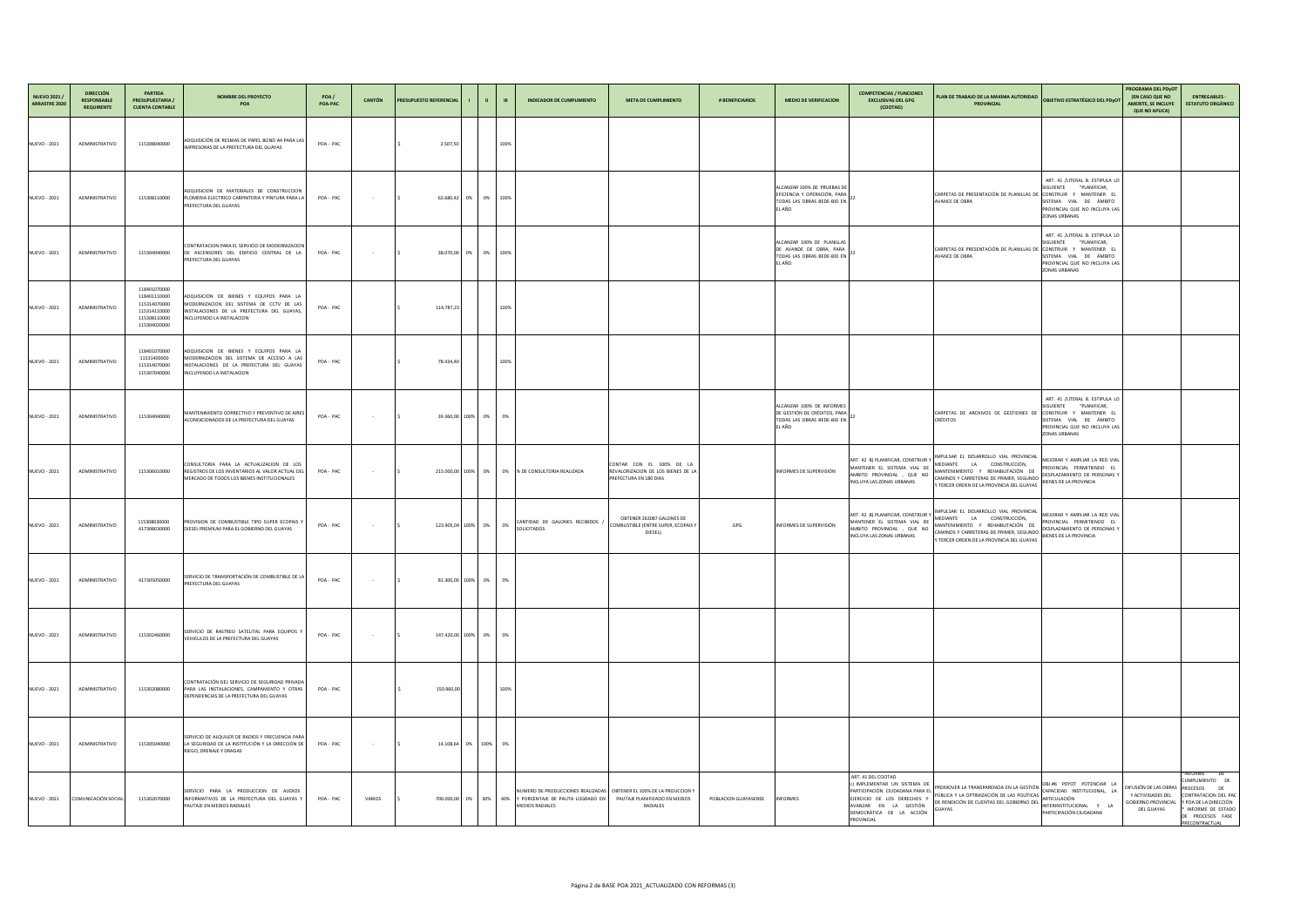| NUEVO 2021 /<br>ARRASTRE 2020 | <b>DIRECCIÓN</b><br><b>RESPONSABLE</b><br><b>REQUIRENTE</b> | <b>PARTIDA</b><br><b>PRESUPUESTARIA /</b><br><b>CUENTA CONTABLE</b>                          | <b>NOMBRE DEL PROYECTO</b><br>POA                                                                                                                              | POA /<br>POA-PAC | CANTÓN                   | <b>PRESUPUESTO REFERENCIAL</b> |                       | <b>The Contract Street</b> | - III | <b>INDICADOR DE CUMPLIMIENTO</b>                                                                                                                          | <b>META DE CUMPLIMIENTO</b>                                                  | # BENEFICIARIOS      | <b>MEDIO DE VERIFICACION</b>                                                                         | <b>COMPETENCIAS / FUNCIONES</b><br><b>EXCLUSIVAS DEL GPG</b><br>(COOTAD)                                                           | PLAN DE TRABAJO DE LA MAXIMA AUTORIDAD<br><b>PROVINCIAL</b>                                                                                                                                                                            | <b>OBJETIVO ESTRATÉGICO DEL PDYOT</b>                                                                                                                                               | PROGRAMA DEL PDyOT<br><b>(EN CASO QUE NO</b><br><b>AMERITE, SE INCLUYE</b><br><b>QUE NO APLICA)</b>       | <b>ENTREGABLES -</b><br><b>ESTATUTO ORGÁNICO</b>                                                                                             |
|-------------------------------|-------------------------------------------------------------|----------------------------------------------------------------------------------------------|----------------------------------------------------------------------------------------------------------------------------------------------------------------|------------------|--------------------------|--------------------------------|-----------------------|----------------------------|-------|-----------------------------------------------------------------------------------------------------------------------------------------------------------|------------------------------------------------------------------------------|----------------------|------------------------------------------------------------------------------------------------------|------------------------------------------------------------------------------------------------------------------------------------|----------------------------------------------------------------------------------------------------------------------------------------------------------------------------------------------------------------------------------------|-------------------------------------------------------------------------------------------------------------------------------------------------------------------------------------|-----------------------------------------------------------------------------------------------------------|----------------------------------------------------------------------------------------------------------------------------------------------|
| <b>NUEVO - 2021</b>           | ADMINISTRATIVO                                              | 115308040000                                                                                 | ADQUISICIÓN DE RESMAS DE PAPEL BOND A4 PARA LAS<br>IMPRESORAS DE LA PREFECTURA DEL GUAYAS                                                                      | POA-PAC          |                          |                                | 2.507,50              |                            | 100%  |                                                                                                                                                           |                                                                              |                      |                                                                                                      |                                                                                                                                    |                                                                                                                                                                                                                                        |                                                                                                                                                                                     |                                                                                                           |                                                                                                                                              |
| <b>NUEVO - 2021</b>           | ADMINISTRATIVO                                              | 115308110000                                                                                 | ADQUISICION DE MATERIALES DE CONSTRUCCION<br>PLOMERIA ELECTRICO CARPINTERIA Y PINTURA PARA LA<br>PREFECTURA DEL GUAYAS                                         | POA-PAC          | <b>Contract Contract</b> |                                | 62.680,42 0% 0% 100%  |                            |       |                                                                                                                                                           |                                                                              |                      | ALCANZAR 100% DE PRUEBAS DE<br>EFICIENCIA Y OPERACIÓN, PARA<br>TODAS LAS OBRAS BEDE-BID EN<br>EL AÑO |                                                                                                                                    | CARPETAS DE PRESENTACIÓN DE PLANILLAS DE<br>AVANCE DE OBRA                                                                                                                                                                             | ART. 41 /LITERAL B. ESTIPULA LO<br>"PLANIFICAR,<br><b>SIGUIENTE</b><br>[ CONSTRUIR Y MANTENER EL<br>SISTEMA VIAL DE ÁMBITO<br>PROVINCIAL QUE NO INCLUYA LAS<br><b>ZONAS URBANAS</b> |                                                                                                           |                                                                                                                                              |
| <b>NUEVO - 2021</b>           | ADMINISTRATIVO                                              | 115304040000                                                                                 | CONTRATACION PARA EL SERVICIO DE MODERNIZACION<br>DE ASCENSORES DEL EDIFICIO CENTRAL DE LA<br><b>PREFECTURA DEL GUAYAS</b>                                     | POA-PAC          | <b>Contractor</b>        |                                | 38.070,00 0% 0% 100%  |                            |       |                                                                                                                                                           |                                                                              |                      | ALCANZAR 100% DE PLANILLAS<br>DE AVANDE DE OBRA, PARA<br>TODAS LAS OBRAS BEDE-BID EN<br>L AÑO        |                                                                                                                                    | CARPETAS DE PRESENTACIÓN DE PLANILLAS DE<br>AVANCE DE OBRA                                                                                                                                                                             | ART. 41 /LITERAL B. ESTIPULA LO<br>"PLANIFICAR,<br>SIGUIENTE<br>E CONSTRUIR Y MANTENER EL<br>SISTEMA VIAL DE ÁMBITO<br>PROVINCIAL QUE NO INCLUYA LAS<br><b>ZONAS URBANAS</b>        |                                                                                                           |                                                                                                                                              |
| <b>NUEVO - 2021</b>           | ADMINISTRATIVO                                              | 118401070000<br>118401110000<br>115314070000<br>115314110000<br>115308110000<br>115304020000 | ADQUISICION DE BIENES Y EQUIPOS PARA LA<br>MODERNIZACION DEL SISTEMA DE CCTV DE LAS<br>INSTALACIONES DE LA PREFECTURA DEL GUAYAS,<br>INCLUYENDO LA INSTALACION | POA-PAC          |                          |                                | 114.787,23            |                            | 100%  |                                                                                                                                                           |                                                                              |                      |                                                                                                      |                                                                                                                                    |                                                                                                                                                                                                                                        |                                                                                                                                                                                     |                                                                                                           |                                                                                                                                              |
| <b>NUEVO - 2021</b>           | ADMINISTRATIVO                                              | 118401070000<br>11531400000<br>115314070000<br>115307040000                                  | ADQUISICION DE BIENES Y EQUIPOS PARA LA<br>MODERNIZACION DEL SISTEMA DE ACCESO A LAS<br>INSTALACIONES DE LA PREFECTURA DEL GUAYAS<br>INCLUYENDO LA INSTALACION | POA-PAC          |                          |                                | 78.434,40             |                            | 100%  |                                                                                                                                                           |                                                                              |                      |                                                                                                      |                                                                                                                                    |                                                                                                                                                                                                                                        |                                                                                                                                                                                     |                                                                                                           |                                                                                                                                              |
| <b>NUEVO - 2021</b>           | ADMINISTRATIVO                                              | 115304040000                                                                                 | MANTENIMIENTO CORRECTIVO Y PREVENTIVO DE AIRES<br>ACONDICIONADOS DE LA PREFECTURA DEL GUAYAS                                                                   | POA-PAC          | <b>Contract Contract</b> |                                | 39.360,00 100% 0% 0%  |                            |       |                                                                                                                                                           |                                                                              |                      | ALCANZAR 100% DE INFORMES<br>DE GESTIÓN DE CRÉDITOS, PARA<br>TODAS LAS OBRAS BEDE-BID EN<br>L AÑO    |                                                                                                                                    | CARPETAS DE ARCHIVOS DE GESTIONES DE<br><b>CRÉDITOS</b>                                                                                                                                                                                | ART. 41 /LITERAL B. ESTIPULA LO<br>"PLANIFICAR,<br>SIGUIENTE<br>CONSTRUIR Y MANTENER EL<br>SISTEMA VIAL DE ÁMBITO<br>PROVINCIAL QUE NO INCLUYA LAS<br><b>ZONAS URBANAS</b>          |                                                                                                           |                                                                                                                                              |
| <b>NUEVO - 2021</b>           | ADMINISTRATIVO                                              | 115306010000                                                                                 | CONSULTORIA PARA LA ACTUALIZACION DE LOS<br>REGISTROS DE LOS INVENTARIOS AL VALOR ACTUAL DEL<br>MERCADO DE TODOS LOS BIENES INSTITUCIONALES                    | POA-PAC          | <b>Service</b> State     |                                |                       |                            |       | 215.000,00   100%   0%   0%  % DE CONSULTORIA REALIZADA<br>PREFECTURA EN 180 DIAS                                                                         | CONTAR CON EL 100% DE LA<br>REVALORIZACION DE LOS BIENES DE LA               |                      | INFORMES DE SUPERVISIÓN                                                                              | ART. 42 B) PLANIFICAR, CONSTRUIR Y<br>MANTENER EL SISTEMA VIAL DE<br>AMBITO PROVINCIAL, QUE NO<br><b>INCLUYA LAS ZONAS URBANAS</b> | IMPULSAR EL DESARROLLO VIAL PROVINCIAL MEJORAR Y AMPLIAR LA RED VIAL<br>MEDIANTE LA CONSTRUCCIÓN,<br>MANTENIMIENTO Y REHABILITACIÓN DE<br>CAMINOS Y CARRETERAS DE PRIMER, SEGUNDO<br>Y TERCER ORDEN DE LA PROVINCIA DEL GUAYAS         | PROVINCIAL PERMITIENDO EL<br>DESPLAZAMIENTO DE PERSONAS<br>BIENES DE LA PROVINCIA                                                                                                   |                                                                                                           |                                                                                                                                              |
| <b>NUEVO - 2021</b>           | ADMINISTRATIVO                                              | 115308030000<br>417308030000                                                                 | PROVISION DE COMBUSTIBLE TIPO SUPER ECOPAIS<br>DIESEL PREMIUM PARA EL GOBIERNO DEL GUAYAS                                                                      | POA-PAC          | <b>Contract Contract</b> |                                | 123.905,04 100% 0% 0% |                            |       | CANTIDAD DE GALONES RECIBIDOS<br><b>SOLICITADOS</b>                                                                                                       | OBTENER 263087 GALONES DE<br>COMBUSTIBLE (ENTRE SUPER, ECOPAIS )<br>DIESEL). | GPG                  | INFORMES DE SUPERVISIÓN                                                                              | ART. 42 B) PLANIFICAR, CONSTRUIR Y<br>MANTENER EL SISTEMA VIAL DE<br>AMBITO PROVINCIAL, QUE NO<br>INCLUYA LAS ZONAS URBANAS        | WIMPULSAR EL DESARROLLO VIAL PROVINCIAL MEJORAR Y AMPLIAR LA RED VIAL<br>MEDIANTE LA CONSTRUCCIÓN,<br>MANTENIMIENTO Y REHABILITACIÓN DE<br>CAMINOS Y CARRETERAS DE PRIMER, SEGUNDO<br>Y TERCER ORDEN DE LA PROVINCIA DEL GUAYAS        | PROVINCIAL PERMITIENDO EL<br>DESPLAZAMIENTO DE PERSONAS<br>BIENES DE LA PROVINCIA                                                                                                   |                                                                                                           |                                                                                                                                              |
| <b>NUEVO - 2021</b>           | ADMINISTRATIVO                                              | 417305050000                                                                                 | SERVICIO DE TRANSPORTACIÓN DE COMBUSTIBLE DE LA<br>PREFECTURA DEL GUAYAS                                                                                       | POA-PAC          | <b>Contract Contract</b> |                                | 81.300,00 100% 0% 0%  |                            |       |                                                                                                                                                           |                                                                              |                      |                                                                                                      |                                                                                                                                    |                                                                                                                                                                                                                                        |                                                                                                                                                                                     |                                                                                                           |                                                                                                                                              |
| <b>NUEVO - 2021</b>           | ADMINISTRATIVO                                              | 115302460000                                                                                 | SERVICIO DE RASTREO SATELITAL PARA EQUIPOS<br>VEHICULOS DE LA PREFECTURA DEL GUAYAS                                                                            | POA-PAC          |                          |                                | 147.420,00 100% 0% 0% |                            |       |                                                                                                                                                           |                                                                              |                      |                                                                                                      |                                                                                                                                    |                                                                                                                                                                                                                                        |                                                                                                                                                                                     |                                                                                                           |                                                                                                                                              |
| <b>NUEVO - 2021</b>           | ADMINISTRATIVO                                              | 115302080000                                                                                 | CONTRATACIÓN DEL SERVICIO DE SEGURIDAD PRIVADA<br>PARA LAS INSTALACIONES, CAMPAMENTO Y OTRAS<br>DEPENDENCIAS DE LA PREFECTURA DEL GUAYAS                       | POA-PAC          |                          |                                | 150.960,00            |                            | 100%  |                                                                                                                                                           |                                                                              |                      |                                                                                                      |                                                                                                                                    |                                                                                                                                                                                                                                        |                                                                                                                                                                                     |                                                                                                           |                                                                                                                                              |
| <b>NUEVO - 2021</b>           | ADMINISTRATIVO                                              | 115305040000                                                                                 | SERVICIO DE ALQUILER DE RADIOS Y FRECUENCIA PARA<br>LA SEGURIDAD DE LA INSTITUCIÓN Y LA DIRECCIÓN DE<br>RIEGO, DRENAJE Y DRAGAS                                | POA-PAC          | <b>Contract Contract</b> |                                | 14.108,64 0% 100% 0%  |                            |       |                                                                                                                                                           |                                                                              |                      |                                                                                                      |                                                                                                                                    |                                                                                                                                                                                                                                        |                                                                                                                                                                                     |                                                                                                           |                                                                                                                                              |
|                               | NUEVO - 2021 COMUNICACIÓN SOCIAL                            | 115302070000                                                                                 | SERVICIO PARA LA PRODUCCION DE AUDIOS<br>INFORMATIVOS DE LA PREFECTURA DEL GUAYAS Y<br>PAUTAJE EN MEDIOS RADIALES                                              | POA-PAC          | <b>VARIOS</b>            |                                |                       |                            |       | NUMERO DE PRODUCCIONES REALIZADAS   OBTENER EL 100% DE LA PROUCCION Y<br>700.000,00 0% 30% 40% Y PORCENTAJE DE PAUTA LOGRADO EN<br><b>MEDIOS RADIALES</b> | PAUTAJE PLANIFICADO EN MEDIOS<br>RADIALES                                    | POBLACION GUAYASENSE | <b>INFORMES</b>                                                                                      | ART. 41 DEL COOTAD<br>c) IMPLEMENTAR UN SISTEMA DE<br>AVANZAR EN LA GESTIÓN<br>DEMOCRÁTICA DE LA ACCIÓN<br>PROVINCIAL              | PROMOVER LA TRANSPARENCIA EN LA GESTIÓN OBJ.#6 PDYOT POTENCIAR LA<br>PARTICIPACIÓN CIUDADANA PARA EL PROMOTEN EL MENTELLO DE LAS POLÍTICAS ARTICULACIÓN<br>DE RENDICIÓN DE CUENTAS DEL GOBIERNO DEL MINTERINSTITUCIONAL Y LA<br>GUAYAS | PARTICIPACIÓN CIUDADANA                                                                                                                                                             | DIFUSIÓN DE LAS OBRAS PROCESOS DE<br>Y ACTIVIDADES DEL<br><b>GOBIERNO PROVINCIAL</b><br><b>DEL GUAYAS</b> | *INFORME DE<br>CUMPLIMIENTO DE<br>CONTRATACION DEL PAC<br>Y POA DE LA DIRECCIÓN<br>* INFORME DE ESTADO<br>DE PROCESOS FASE<br>PRECONTRACTUAL |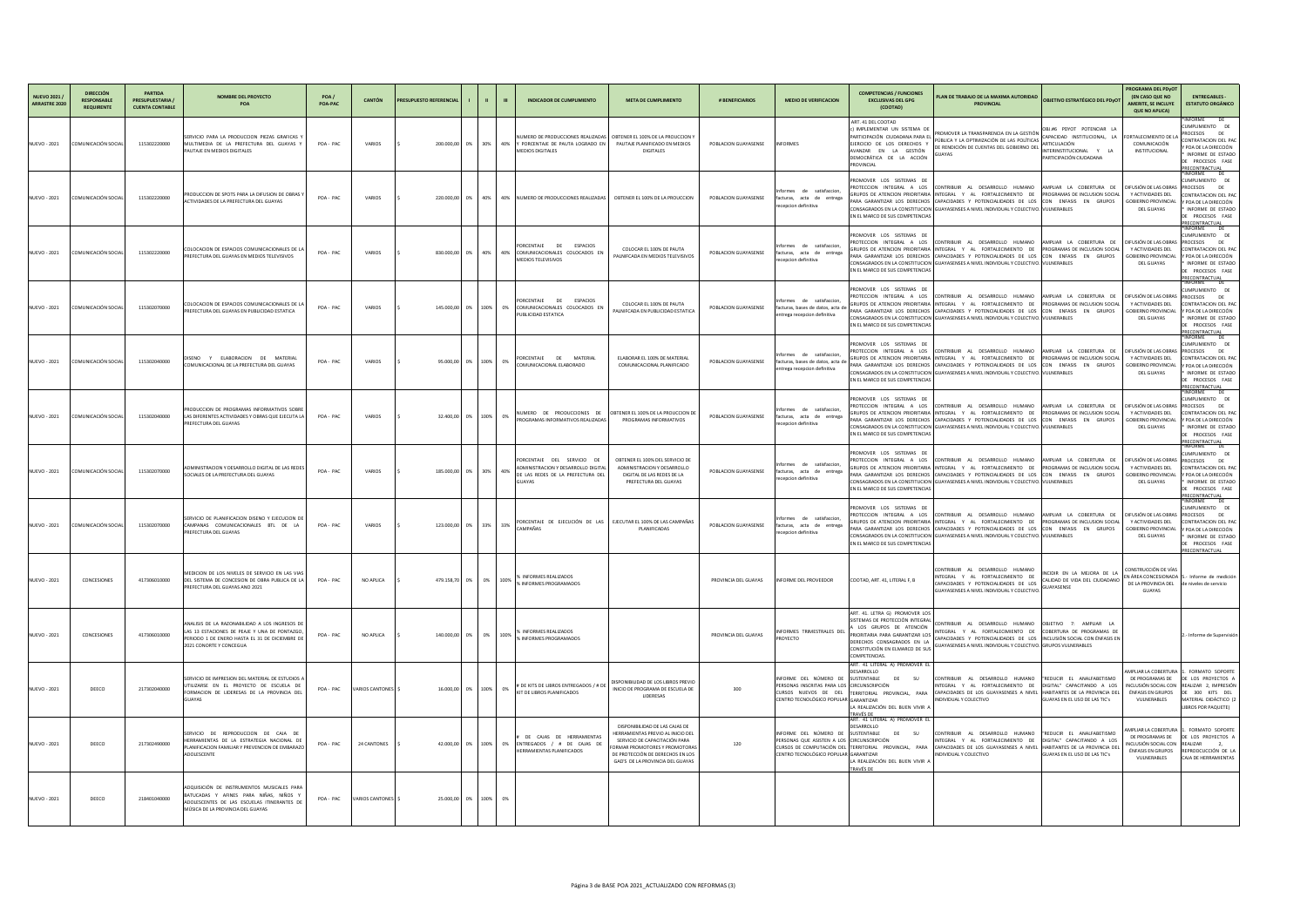| <b>NUEVO 2021</b><br><b>ARRASTRE 2020</b> | <b>DIRECCIÓN</b><br><b>RESPONSABLE</b><br><b>REQUIRENTE</b> | <b>PARTIDA</b><br><b>PRESUPUESTARIA</b><br><b>CUENTA CONTABLE</b> | <b>NOMBRE DEL PROYECTO</b><br><b>POA</b>                                                                                                                                   | POA/<br>POA-PAC | <b>CANTÓN</b>          | <b>PRESUPUESTO REFERENCIAL</b> |                          | <b>INDICADOR DE CUMPLIMIENTO</b>                                                                                 | <b>META DE CUMPLIMIENTO</b>                                                                                                                                                                                    | # BENEFICIARIOS      | <b>MEDIO DE VERIFICACION</b>                                                                                               | <b>COMPETENCIAS / FUNCIONES</b><br><b>EXCLUSIVAS DEL GPG</b><br>(COOTAD)                                                                                                                                          | PLAN DE TRABAJO DE LA MAXIMA AUTORIDAD<br><b>OBJETIVO ESTRATÉGICO DEL PDyO</b><br><b>PROVINCIAL</b>                                                                                                                                                                                                                                                                                                 | <b>PROGRAMA DEL PDyOT</b><br><b>(EN CASO QUE NO</b><br><b>AMERITE, SE INCLUYE</b><br><b>QUE NO APLICA)</b> | <b>ENTREGABLES</b><br><b>ESTATUTO ORGÁNICO</b>                                                                                                                                                   |
|-------------------------------------------|-------------------------------------------------------------|-------------------------------------------------------------------|----------------------------------------------------------------------------------------------------------------------------------------------------------------------------|-----------------|------------------------|--------------------------------|--------------------------|------------------------------------------------------------------------------------------------------------------|----------------------------------------------------------------------------------------------------------------------------------------------------------------------------------------------------------------|----------------------|----------------------------------------------------------------------------------------------------------------------------|-------------------------------------------------------------------------------------------------------------------------------------------------------------------------------------------------------------------|-----------------------------------------------------------------------------------------------------------------------------------------------------------------------------------------------------------------------------------------------------------------------------------------------------------------------------------------------------------------------------------------------------|------------------------------------------------------------------------------------------------------------|--------------------------------------------------------------------------------------------------------------------------------------------------------------------------------------------------|
| <b>NUEVO - 2021</b>                       | COMUNICACIÓN SOCIAL                                         | 115302220000                                                      | SERVICIO PARA LA PRODUCCION PIEZAS GRAFICAS<br>MULTIMEDIA DE LA PREFECTURA DEL GUAYAS<br>PAUTAJE EN MEDIOS DIGITALES                                                       | POA - PAC       | VARIOS                 |                                | 200.000.00 0% 30% 40%    | NUMERO DE PRODUCCIONES REALIZADAS<br>Y PORCENTAJE DE PAUTA LOGRADO EN<br><b>MEDIOS DIGITALES</b>                 | OBTENER EL 100% DE LA PROUCCION Y<br>PAUTAJE PLANIFICADO EN MEDIOS<br><b>DIGITALES</b>                                                                                                                         | POBLACION GUAYASENSE | <b>INFORMES</b>                                                                                                            | ART. 41 DEL COOTAD<br>c) IMPLEMENTAR UN SISTEMA<br>PARTICIPACIÓN CIUDADANA PARA E<br>EJERCICIO DE LOS DERECHOS Y<br>AVANZAR EN LA GESTIÓN<br>DEMOCRÁTICA DE LA ACCIÓN<br>PROVINCIAL                               | OBJ.#6 PDYOT POTENCIAR LA<br>PROMOVER LA TRANSPARENCIA EN LA GESTIÓN<br>CAPACIDAD INSTITUCIONAL, LA<br>PÚBLICA Y LA OPTIMIZACIÓN DE LAS POLÍTICAS<br>ARTICULACIÓN<br>DE RENDICIÓN DE CUENTAS DEL GOBIERNO DE<br>INTERINSTITUCIONAL Y LA<br>iUAYAS<br>PARTICIPACIÓN CIUDADANA                                                                                                                        | <b>FORTALECIMIENTO DE L</b><br>COMUNICACIÓN<br>INSTITUCIONAL                                               | NFORME<br>DE DE<br>CUMPLIMIENTO DE<br>DE <sub>1</sub><br>PROCESOS<br>CONTRATACION DEL PAC<br>POA DE LA DIRECCIÓN<br>INFORME DE ESTADO<br>PROCESOS FASE<br>PRECONTRACTUAL                         |
| <b>NUEVO - 2021</b>                       | COMUNICACIÓN SOCIAL                                         | 115302220000                                                      | PRODUCCION DE SPOTS PARA LA DIFUSION DE OBRAS<br>ACTIVIDADES DE LA PREFECTURA DEL GUAYAS                                                                                   | POA-PAC         | VARIOS                 |                                |                          | 220.000,00   0%   40%   40%   NUMERO DE PRODUCCIONES REALIZADAS                                                  | OBTENER EL 100% DE LA PROUCCION                                                                                                                                                                                | POBLACION GUAYASENSE | Informes de satisfaccion,<br>facturas, acta de entrega<br>recepcion definitiva                                             | PROMOVER LOS SISTEMAS DE<br>EN EL MARCO DE SUS COMPETENCIAS                                                                                                                                                       | PROTECCION INTEGRAL A LOS CONTRIBUIR AL DESARROLLO HUMANO (AMPLIAR LA COBERTURA DE (DIFUSIÓNDE-LAS-OBRAS)<br>GRUPOS DE ATENCION PRIORITARIA INTEGRAL Y AL FORTALECIMIENTO DE PROGRAMAS DE INCLUSION SOCIAI<br>PARA GARANTIZAR LOS DERECHOS CAPACIDADES Y POTENCIALIDADES DE LOS CON ENFASIS EN GRUPOS<br>CONSAGRADOS EN LA CONSTITUCION   GUAYASENSES A NIVEL INDIVIDUAL Y COLECTIVO. I VULNERABLES | Y ACTIVIDADES DEL<br><b>GOBIERNO PROVINCIAL</b><br>DEL GUAYAS                                              | <b>INFORME</b><br>DE<br>CUMPLIMIENTO DE<br><b>PROCESOS</b><br><b>DE</b><br>CONTRATACION DEL PAC<br><i>r</i> poa de la dirección<br>INFORME DE ESTADO<br>PROCESOS FASE<br>PRECONTRACTUAL          |
| <b>NUEVO - 2021</b>                       | COMUNICACIÓN SOCIAL                                         | 115302220000                                                      | COLOCACION DE ESPACIOS COMUNICACIONALES DE L<br><b>PREFECTURA DEL GUAYAS EN MEDIOS TELEVISIVOS</b>                                                                         | POA-PAC         | VARIOS                 |                                | 830.000.00  0%  40%  40% | PORCENTAJE DE ESPACIOS<br>COMUNICACIONALES COLOCADOS EN<br><b>MEDIOS TELEVISIVOS</b>                             | COLOCAR EL 100% DE PAUTA<br>PALNIFCADA EN MEDIOS TELEVISIVOS                                                                                                                                                   | POBLACION GUAYASENSE | Informes de satisfaccion,<br>facturas, acta de entrega<br>recepcion definitiva                                             | PROMOVER LOS SISTEMAS DE<br>EN EL MARCO DE SUS COMPETENCIAS                                                                                                                                                       | PROTECCION INTEGRAL A LOS CONTRIBUIR AL DESARROLLO HUMANO LAMPLIAR LA COBERTURA DE<br>GRUPOS DE ATENCION PRIORITARIA INTEGRAL Y AL FORTALECIMIENTO DE PROGRAMAS DE INCLUSION SOCIAI<br>PARA GARANTIZAR LOS DERECHOS CAPACIDADES Y POTENCIALIDADES DE LOS CON ENFASIS EN GRUPOS<br>CONSAGRADOS EN LA CONSTITUCION GUAYASENSES A NIVEL INDIVIDUAL Y COLECTIVO. VULNERABLES                            | DIFUSIÓN DE LAS OBRAS<br>Y ACTIVIDADES DEL<br><b>GOBIERNO PROVINCIAL</b><br>DEL GUAYAS                     | <b>INFORME</b><br>DE DE<br>CUMPLIMIENTO DE<br><b>PROCESOS</b><br>DE <sub>1</sub><br>CONTRATACION DEL PAC<br><i>r</i> poa de la dirección<br>INFORME DE ESTADO<br>PROCESOS FASE<br>PRECONTRACTUAL |
| <b>NUEVO - 2021</b>                       | COMUNICACIÓN SOCIAL                                         | 115302070000                                                      | COLOCACION DE ESPACIOS COMUNICACIONALES DE L<br>PREFECTURA DEL GUAYAS EN PUBLICIDAD ESTATICA                                                                               | POA-PAC         | VARIOS                 |                                | 145.000,00 0% 100% 0%    | PORCENTAJE DE ESPACIOS<br>COMUNICACIONALES COLOCADOS EN<br>PUBLICIDAD ESTATICA                                   | COLOCAR EL 100% DE PAUTA<br>PALNIFCADA EN PUBLICIDAD ESTATICA                                                                                                                                                  | POBLACION GUAYASENSE | Informes de satisfaccion,<br>facturas, bases de datos, acta o<br>entrega recepcion definitiva                              | PROMOVER LOS SISTEMAS DE<br>PROTECCION INTEGRAL A LOS CONTRIBUIR AL<br>GRUPOS DE ATENCION PRIORITARIA INTEGRAL<br>EN EL MARCO DE SUS COMPETENCIAS                                                                 | DESARROLLO HUMANO<br>IAMPLIAR LA COBERTURA DE<br>Y AL FORTALECIMIENTO DE<br><b>PROGRAMAS DE INCLUSION SOCIA</b><br>PARA GARANTIZAR LOS DERECHOS CAPACIDADES Y POTENCIALIDADES DE LOS CON ENFASIS EN GRUPOS<br>CONSAGRADOS EN LA CONSTITUCION GUAYASENSES A NIVEL INDIVIDUAL Y COLECTIVO. VULNERABLES                                                                                                | DIFUSIÓN DE LAS OBRAS<br>Y ACTIVIDADES DEL<br><b>GOBIERNO PROVINCIAL</b><br>DEL GUAYAS                     | NFORME<br><b>DE</b><br>CUMPLIMIENTO DE<br>PROCESOS<br>DE <sub>1</sub><br>ONTRATACION DEL PAC<br>POA DE LA DIRECCIÓN<br>INFORME DE ESTADO<br>PROCESOS FASE<br><u>PRECONTRACTUAL</u>               |
| <b>NUEVO - 2021</b>                       | COMUNICACIÓN SOCIAL                                         | 115302040000                                                      | Y ELABORACION DE MATERIAL<br>DISENO<br>COMUNICACIONAL DE LA PREFECTURA DEL GUAYAS                                                                                          | POA-PAC         | VARIOS                 |                                | 95.000,00 0% 100% 0%     | PORCENTAJE DE MATERIAL<br>COMUNICACIONAL ELABORADO                                                               | ELABORAR EL 100% DE MATERIAL<br>COMUNICACIONAL PLANIFICADO                                                                                                                                                     | POBLACION GUAYASENSE | Informes de satisfaccion,<br>facturas, bases de datos, acta<br>entrega recepcion definitiva                                | PROMOVER LOS SISTEMAS DE<br>EN EL MARCO DE SUS COMPETENCIAS                                                                                                                                                       | PROTECCION INTEGRAL A LOS CONTRIBUIR AL DESARROLLO HUMANO (AMPLIAR LA COBERTURA DE (DIFUSIÓNDE-LAS-OBRAS<br>GRUPOS DE ATENCION PRIORITARIA INTEGRAL Y AL FORTALECIMIENTO DE PROGRAMAS DE INCLUSION SOCIAI<br>PARA GARANTIZAR LOS DERECHOS CAPACIDADES Y POTENCIALIDADES DE LOS CON ENFASIS EN GRUPOS<br>CONSAGRADOS EN LA CONSTITUCION GUAYASENSES A NIVEL INDIVIDUAL Y COLECTIVO. VULNERABLES      | Y ACTIVIDADES DEL<br><b>GOBIERNO PROVINCIAL</b><br>DEL GUAYAS                                              | *INFORME DE<br>CUMPLIMIENTO DE<br>PROCESOS DE<br>CONTRATACION DEL PAC<br>POA DE LA DIRECCIÓN<br>INFORME DE ESTADO<br>PROCESOS FASE<br>PRECONTRACTUAL                                             |
| <b>NUEVO - 2021</b>                       | COMUNICACIÓN SOCIAL                                         | 115302040000                                                      | PRODUCCION DE PROGRAMAS INFORMATIVOS SOBRE<br>LAS DIFERENTES ACTIVIDADES Y OBRAS QUE EJECUTA LA<br><b>PREFECTURA DEL GUAYAS</b>                                            | POA-PAC         | VARIOS                 |                                | 32.400,00 0% 100% 0%     | NUMERO DE PRODUCCIONES DE OBTENER EL 100% DE LA PROUCCION DE<br>PROGRAMAS INFORMATIVOS REALIZADAS                | PROGRAMAS INFORMATIVOS                                                                                                                                                                                         | POBLACION GUAYASENSE | Informes de satisfaccion,<br>facturas, acta de entrega<br>recepcion definitiva                                             | PROMOVER LOS SISTEMAS DE<br>EN EL MARCO DE SUS COMPETENCIAS                                                                                                                                                       | PROTECCION INTEGRAL A LOS CONTRIBUIR AL DESARROLLO HUMANO (AMPLIAR LA COBERTURA DE (DIFUSIÓNDE-LAS-OBRAS<br>GRUPOS DE ATENCION PRIORITARIA INTEGRAL Y AL FORTALECIMIENTO DE PROGRAMAS DE INCLUSION SOCIAL<br>PARA GARANTIZAR LOS DERECHOS CAPACIDADES Y POTENCIALIDADES DE LOS CON ENFASIS EN GRUPOS<br>CONSAGRADOS EN LA CONSTITUCION GUAYASENSES A NIVEL INDIVIDUAL Y COLECTIVO. VULNERABLES      | Y ACTIVIDADES DEL<br><b>GOBIERNO PROVINCIAL</b><br>DEL GUAYAS                                              | INFORME DE<br>CUMPLIMIENTO DE<br>PROCESOS DE<br>CONTRATACION DEL PAC<br><i>Y</i> POA DE LA DIRECCIÓN<br>INFORME DE ESTADO<br>PROCESOS FASE<br><b>RECONTRACTUAL</b>                               |
| <b>NUEVO - 2021</b>                       | COMUNICACIÓN SOCIAL                                         | 115302070000                                                      | ADMINISTRACION Y DESARROLLO DIGITAL DE LAS REDE:<br>SOCIALES DE LA PREFECTURA DEL GUAYAS                                                                                   | POA-PAC         | VARIOS                 |                                | 185,000,00 0% 30% 40%    | PORCENTAJE DEL SERVICIO DE<br>ADMINISTRACION Y DESARROLLO DIGITAL<br>DE LAS REDES DE LA PREFECTURA DEL<br>GUAYAS | OBTENER EL 100% DEL SERVICIO DE<br>ADMINISTRACION Y DESARROLLO<br>DIGITAL DE LAS REDES DE LA<br>PREFECTURA DEL GUAYAS                                                                                          | POBLACION GUAYASENSE | Informes de satisfaccion,<br>facturas, acta de entrega<br>recepcion definitiva                                             | PROMOVER LOS SISTEMAS DE<br>EN EL MARCO DE SUS COMPETENCIAS                                                                                                                                                       | PROTECCION INTEGRAL A LOS CONTRIBUIR AL DESARROLLO HUMANO (AMPLIAR LA COBERTURA DE (DIFUSIÓNDE-LAS-OBRAS<br>GRUPOS DE ATENCION PRIORITARIA INTEGRAL Y AL FORTALECIMIENTO DE PROGRAMAS DE INCLUSION SOCIAI<br>PARA GARANTIZAR LOS DERECHOS CAPACIDADES Y POTENCIALIDADES DE LOS CON ENFASIS EN GRUPOS<br>CONSAGRADOS EN LA CONSTITUCION GUAYASENSES A NIVEL INDIVIDUAL Y COLECTIVO. VULNERABLES      | Y ACTIVIDADES DEL<br><b>GOBIERNO PROVINCIAL</b><br>DEL GUAYAS                                              | NFORME DE<br>CUMPLIMIENTO DE<br>PROCESOS DE<br>CONTRATACION DEL PAC<br>Y POA DE LA DIRECCIÓN<br>INFORME DE ESTADO<br>F PROCESOS FASE<br><b>PRECONTRACTUAL</b>                                    |
| <b>NUEVO - 2021</b>                       | <b>COMUNICACIÓN SOCIAL</b>                                  | 115302070000                                                      | SERVICIO DE PLANIFICACION DISENO Y EJECUCION DE<br>CAMPANAS COMUNICACIONALES BTL DE LA<br><b>PREFECTURA DEL GUAYAS</b>                                                     | POA - PAC       | VARIOS                 |                                | 123.000,00 0% 33% 33%    | PORCENTAJE DE EJECUCIÓN DE LAS   EJECUTAR EL 100% DE LAS CAMPAÑAS<br>AMPAÑAS:                                    | PLANIFICADAS                                                                                                                                                                                                   | POBLACION GUAYASENSE | Informes de satisfaccion,<br>facturas, acta de entrega<br>recepcion definitiva                                             | PROMOVER LOS SISTEMAS DE<br>EN EL MARCO DE SUS COMPETENCIAS                                                                                                                                                       | PROTECCION INTEGRAL A LOS CONTRIBUIR AL DESARROLLO HUMANO (AMPLIAR LA COBERTURA DE (DIFUSIÓNDE-LAS-OBRAS<br>GRUPOS DE ATENCION PRIORITARIA INTEGRAL Y AL FORTALECIMIENTO DE PROGRAMAS DE INCLUSION SOCIAI<br>PARA GARANTIZAR LOS DERECHOS CAPACIDADES Y POTENCIALIDADES DE LOS CON ENFASIS EN GRUPOS<br>CONSAGRADOS EN LA CONSTITUCION GUAYASENSES A NIVEL INDIVIDUAL Y COLECTIVO. VULNERABLES      | Y ACTIVIDADES DEL<br><b>GOBIERNO PROVINCIAL</b><br>DEL GUAYAS                                              | *INFORME DE<br>CUMPLIMIENTO DE<br><b>PROCESOS DE</b><br>CONTRATACION DEL PAC<br>Y POA DE LA DIRECCIÓN<br>INFORME DE ESTADO<br>DE PROCESOS FASE<br>PRECONTRACTUAL                                 |
| <b>NUEVO - 2021</b>                       | CONCESIONES                                                 | 417306010000                                                      | MEDICION DE LOS NIVELES DE SERVICIO EN LAS VIAS<br>DEL SISTEMA DE CONCESION DE OBRA PUBLICA DE LA<br><b>PREFECTURA DEL GUAYAS ANO 2021</b>                                 | POA - PAC       | NO APLICA              |                                | 479.158,70 0% 0% 100%    | % INFORMES REALIZADOS<br>% INFORMES PROGRAMADOS                                                                  |                                                                                                                                                                                                                | PROVINCIA DEL GUAYAS | <b>INFORME DEL PROVEEDOR</b>                                                                                               | COOTAD, ART. 41, LITERAL F, B                                                                                                                                                                                     | CONTRIBUIR AL DESARROLLO HUMANO<br>INCIDIR EN LA MEJORA DE LA<br>INTEGRAL Y AL FORTALECIMIENTO DE<br>CALIDAD DE VIDA DEL CIUDADANO<br>CAPACIDADES Y POTENCIALIDADES DE LOS<br><b>GUAYASENSE</b><br>GUAYASENSES A NIVEL INDIVIDUAL Y COLECTIVO.                                                                                                                                                      | CONSTRUCCIÓN DE VÍAS<br>DE LA PROVINCIA DEL de niveles de servicio<br>GUAYAS                               | EN ÁREA CONCESIONADA 5.- Informe de medición                                                                                                                                                     |
| <b>NUEVO - 2021</b>                       | CONCESIONES                                                 | 417306010000                                                      | ANALISIS DE LA RAZONABILIDAD A LOS INGRESOS DI<br>LAS 13 ESTACIONES DE PEAJE Y UNA DE PONTAZGO<br>PERIODO 1 DE ENERO HASTA EL 31 DE DICIEMBRE D<br>2021 CONORTE Y CONCEGUA | POA - PAC       | NO APLICA              |                                | 140.000,00 0% 0% 100%    | <b>6 INFORMES REALIZADOS</b><br>% INFORMES PROGRAMADOS                                                           |                                                                                                                                                                                                                | PROVINCIA DEL GUAYAS | INFORMES TRIMESTRALES DI<br><b>PROYECTO</b>                                                                                | ART. 41. LETRA G) PROMOVER LOS<br>SISTEMAS DE PROTECCIÓN INTEGRAL<br>A LOS GRUPOS DE ATENCIÓN<br>PRIORITARIA PARA GARANTIZAR LOS<br>DERECHOS CONSAGRADOS EN LA<br>CONSTITUCIÓN EN ELMARCO DE SUS<br>COMPETENCIAS. | CONTRIBUIR AL DESARROLLO HUMANO OBJETIVO 7: AMPLIAR LA<br>INTEGRAL Y AL FORTALECIMIENTO DE COBERTURA DE PROGRAMAS DE<br>CAPACIDADES Y POTENCIALIDADES DE LOS INCLUSIÓN SOCIAL CON ÉNFASIS EN<br>GUAYASENSES A NIVEL INDIVIDUAL Y COLECTIVO. GRUPOS VULNERABLES                                                                                                                                      |                                                                                                            | 2.- Informe de Supervisión                                                                                                                                                                       |
| <b>NUEVO - 2021</b>                       | DEECO                                                       | 217302040000                                                      | SERVICIO DE IMPRESION DEL MATERIAL DE ESTUDIOS A<br>UTILIZARSE EN EL PROYECTO DE ESCUELA DE<br>FORMACION DE LIDERESAS DE LA PROVINCIA DEL<br><b>GUAYAS</b>                 | POA-PAC         | <b>VARIOS CANTONES</b> |                                | 16.000,00 0% 100% 0%     | # DE KITS DE LIBROS ENTREGADOS / # D<br>KIT DE LIBROS PLANIFICADOS                                               | DISPONIBILIDAD DE LOS LIBROS PREVIO<br>INICIO DE PROGRAMA DE ESCUELA DE<br>LIDERESAS                                                                                                                           | 300                  | INFORME DEL NÚMERO DE ISUSTENTABLE<br>PERSONAS INSCRITAS PARA LOS CIRCUNSCRIPCIÓN<br>CENTRO TECNOLÓGICO POPULAR GARANTIZAR | ART. 41 LITERAL A) PROMOVER EL<br><b>DESARROLLO</b><br>DE SU<br>LA REALIZACIÓN DEL BUEN VIVIR A<br><b>TRAVÉS DE</b>                                                                                               | CONTRIBUIR AL DESARROLLO HUMANO   REDUCIR EL ANALFABETISMO<br>INTEGRAL Y AL FORTALECIMIENTO DE DIGITAL" CAPACITANDO A LOS<br>CURSOS NUEVOS DE DEL TERRITORIAL PROVINCIAL, PARA CAPACIDADES DE LOS GUAYASENSES A NIVEL HABITANTES DE LA PROVINCIA DEI<br><b>INDIVIDUAL Y COLECTIVO</b><br><b>GUAYAS EN EL USO DE LAS TIC'S</b>                                                                       | DE PROGRAMAS DE<br>INCLUSIÓN SOCIAL CON<br>ÉNFASIS EN GRUPOS<br>VULNERABLES                                | AMPLIAR LA COBERTURA 1. FORMATO SOPORTE<br>DE LOS PROYECTOS A<br>REALIZAR 2, IMPRESIÓN<br>DE 300 KITS DEL<br>MATERIAL DIDÁCTICO (2<br>LIBROS POR PAQUETE)                                        |
| <b>NUEVO - 2021</b>                       | DEECO                                                       | 217302490000                                                      | SERVICIO DE REPRODUCCION DE CAJA DE<br>HERRAMIENTAS DE LA ESTRATEGIA NACIONAL DE<br>PLANIFICACION FAMILIAR Y PREVENCION DE EMBARAZO<br>ADOLESCENTE                         | POA-PAC         | 24 CANTONES            |                                |                          | DE CAJAS DE HERRAMIENTAS<br>42.000,00 0% 100% 0% ENTREGADOS / # DE CAJAS DE<br>HERRAMIENTAS PLANIFICADOS         | DISPONIBILIDAD DE LAS CAJAS DE<br>HERRAMIENTAS PREVIO AL INICIO DEL<br>SERVICIO DE CAPACITACIÓN PARA<br>FORMAR PROMOTORES Y PROMOTORAS<br>DE PROTECCIÓN DE DERECHOS EN LOS<br>GAD'S DE LA PROVINCIA DEL GUAYAS | 120                  | INFORME DEL NÚMERO DE ISUSTENTABLE<br>PERSONAS QUE ASISTEN A LOS CIRCUNSCRIPCIÓN<br>CENTRO TECNOLÓGICO POPULAR GARANTIZAR  | ART. 41 LITERAL A) PROMOVER EL<br>DESARROLLO<br>DE SU<br>LA REALIZACIÓN DEL BUEN VIVIR A<br><b>TRAVÉS DE</b>                                                                                                      | CONTRIBUIR AL DESARROLLO HUMANO   REDUCIR EL ANALFABETISMO<br>INTEGRAL Y AL FORTALECIMIENTO DE DIGITAL" CAPACITANDO A LOS<br>CURSOS DE COMPUTACIÓN DEL TERRITORIAL PROVINCIAL, PARA CAPACIDADES DE LOS GUAYASENSES A NIVEL HABITANTES DE LA PROVINCIA DE<br><b>INDIVIDUAL Y COLECTIVO</b><br>GUAYAS EN EL USO DE LAS TIC'S                                                                          | DE PROGRAMAS DE<br>INCLUSIÓN SOCIAL CON REALIZAR<br>ÉNFASIS EN GRUPOS<br>VULNERABLES                       | AMPLIAR LA COBERTURA 1. FORMATO SOPORTE<br>DE LOS PROYECTOS A<br>REPRODCUCCIÓN DE LA<br>CAJA DE HERRAMIENTAS                                                                                     |
| <b>NUEVO - 2021</b>                       | DEECO                                                       | 218401040000                                                      | ADQUISICIÓN DE INSTRUMENTOS MUSICALES PARA<br>BATUCADAS Y AFINES PARA NIÑAS, NIÑOS Y<br>ADOLESCENTES DE LAS ESCUELAS ITINERANTES DE<br>MÚSICA DE LA PROVINCIA DEL GUAYAS   | POA-PAC         | VARIOS CANTONES S      |                                | 25.000,00 0% 100% 0%     |                                                                                                                  |                                                                                                                                                                                                                |                      |                                                                                                                            |                                                                                                                                                                                                                   |                                                                                                                                                                                                                                                                                                                                                                                                     |                                                                                                            |                                                                                                                                                                                                  |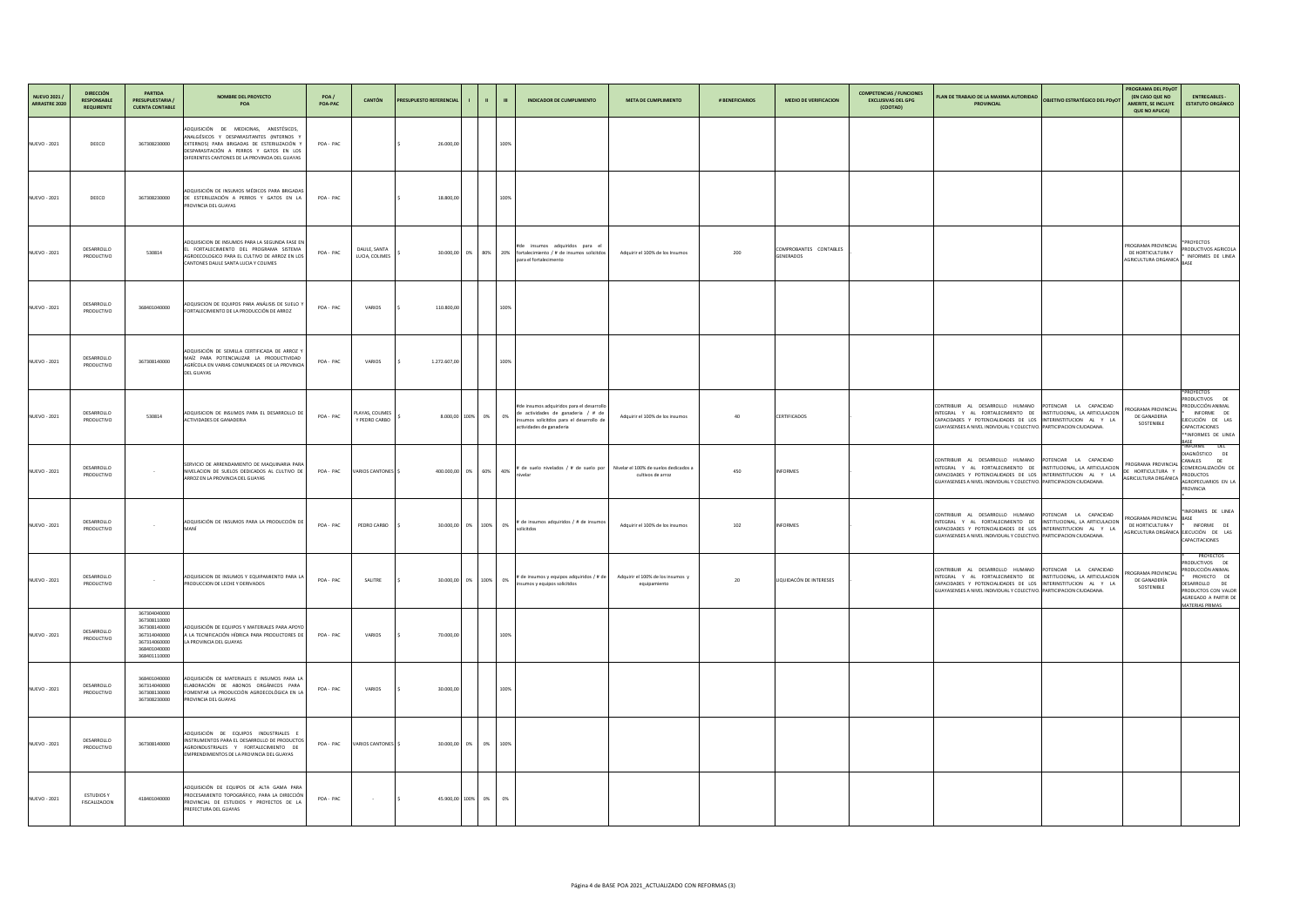| NUEVO 2021 /<br>ARRASTRE 2020 | <b>DIRECCIÓN</b><br><b>RESPONSABLE</b><br><b>REQUIRENTE</b> | <b>PARTIDA</b><br><b>PRESUPUESTARIA</b><br><b>CUENTA CONTABLE</b>                                            | <b>NOMBRE DEL PROYECTO</b><br><b>POA</b>                                                                                                                                                                                        | POA/<br>POA-PAC | <b>CANTÓN</b>                    | <b>PRESUPUESTO REFERENCIAL</b> |                       |      | <b>INDICADOR DE CUMPLIMIENTO</b>                                                                                                                        | <b>META DE CUMPLIMIENTO</b>                                | # BENEFICIARIOS | <b>MEDIO DE VERIFICACION</b>               | <b>COMPETENCIAS / FUNCIONES</b><br><b>EXCLUSIVAS DEL GPG</b><br>(COOTAD) | PLAN DE TRABAJO DE LA MAXIMA AUTORIDAD<br><b>PROVINCIAL</b>                                                                                                                                                                                                        | <b>OBJETIVO ESTRATÉGICO DEL PDYOT</b>                    | <b>PROGRAMA DEL PDyOT</b><br><b>(EN CASO QUE NO</b><br><b>AMERITE, SE INCLUYE</b><br><b>QUE NO APLICA)</b> | <b>ENTREGABLES -</b><br><b>ESTATUTO ORGÁNICO</b>                                                                                                          |
|-------------------------------|-------------------------------------------------------------|--------------------------------------------------------------------------------------------------------------|---------------------------------------------------------------------------------------------------------------------------------------------------------------------------------------------------------------------------------|-----------------|----------------------------------|--------------------------------|-----------------------|------|---------------------------------------------------------------------------------------------------------------------------------------------------------|------------------------------------------------------------|-----------------|--------------------------------------------|--------------------------------------------------------------------------|--------------------------------------------------------------------------------------------------------------------------------------------------------------------------------------------------------------------------------------------------------------------|----------------------------------------------------------|------------------------------------------------------------------------------------------------------------|-----------------------------------------------------------------------------------------------------------------------------------------------------------|
| <b>NUEVO - 2021</b>           | DEECO                                                       | 367308230000                                                                                                 | ADQUISICIÓN DE MEDICINAS, ANESTÉSICOS,<br>ANALGÉSICOS Y DESPARASITANTES (INTERNOS Y<br>EXTERNOS) PARA BRIGADAS DE ESTERILIZACIÓN Y<br>DESPARASITACIÓN A PERROS Y GATOS EN LOS<br>DIFERENTES CANTONES DE LA PROVINCIA DEL GUAYAS | POA-PAC         |                                  | 26.000,00                      |                       | 100% |                                                                                                                                                         |                                                            |                 |                                            |                                                                          |                                                                                                                                                                                                                                                                    |                                                          |                                                                                                            |                                                                                                                                                           |
| <b>NUEVO - 2021</b>           | DEECO                                                       | 367308230000                                                                                                 | ADQUISICIÓN DE INSUMOS MÉDICOS PARA BRIGADAS<br>DE ESTERILIZACIÓN A PERROS Y GATOS EN LA<br><b>PROVINCIA DEL GUAYAS</b>                                                                                                         | POA-PAC         |                                  | 18.800,00                      |                       | 100% |                                                                                                                                                         |                                                            |                 |                                            |                                                                          |                                                                                                                                                                                                                                                                    |                                                          |                                                                                                            |                                                                                                                                                           |
| <b>NUEVO - 2021</b>           | DESARROLLO<br>PRODUCTIVO                                    | 530814                                                                                                       | ADQUISICION DE INSUMOS PARA LA SEGUNDA FASE EN<br>EL FORTALECIMIENTO DEL PROGRAMA SISTEMA<br>AGROECOLOGICO PARA EL CULTIVO DE ARROZ EN LOS<br>CANTONES DAULE SANTA LUCIA Y COLIMES                                              | POA-PAC         | DAULE, SANTA<br>LUCIA, COLIMES   |                                |                       |      | #de insumos adquiridos para el<br>$30.000,00$ 0% 80% 20% fortalecimiento / # de insumos solicitdos<br>para el fortalecimento                            | Adquirir el 100% de los Insumos                            | 200             | COMPROBANTES CONTABLES<br><b>GENERADOS</b> |                                                                          |                                                                                                                                                                                                                                                                    |                                                          | PROGRAMA PROVINCIAL<br>DE HORTICULTURA Y<br><b>AGRICULTURA ORGANICA</b>                                    | *PROYECTOS<br>PRODUCTIVOS AGRICOLA<br>INFORMES DE LINEA                                                                                                   |
| <b>NUEVO - 2021</b>           | DESARROLLO<br>PRODUCTIVO                                    | 368401040000                                                                                                 | ADQUSICION DE EQUIPOS PARA ANÁLISIS DE SUELO<br>FORTALECIMIENTO DE LA PRODUCCIÓN DE ARROZ                                                                                                                                       | POA-PAC         | VARIOS                           | 110.800,00                     |                       | 100% |                                                                                                                                                         |                                                            |                 |                                            |                                                                          |                                                                                                                                                                                                                                                                    |                                                          |                                                                                                            |                                                                                                                                                           |
| <b>NUEVO - 2021</b>           | DESARROLLO<br>PRODUCTIVO                                    | 367308140000                                                                                                 | ADQUISICIÓN DE SEMILLA CERTIFICADA DE ARROZ Y<br>MAÍZ PARA POTENCIALIZAR LA PRODUCTIVIDAD<br>AGRÍCOLA EN VARIAS COMUNIDADES DE LA PROVINCIA<br><b>DEL GUAYAS</b>                                                                | POA-PAC         | VARIOS                           | 1.272.607,00                   |                       | 100% |                                                                                                                                                         |                                                            |                 |                                            |                                                                          |                                                                                                                                                                                                                                                                    |                                                          |                                                                                                            |                                                                                                                                                           |
| <b>NUEVO - 2021</b>           | DESARROLLO<br>PRODUCTIVO                                    | 530814                                                                                                       | ADQUISICION DE INSUMOS PARA EL DESARROLLO DE<br>ACTIVIDADES DE GANADERIA                                                                                                                                                        | POA-PAC         | PLAYAS, COLIMES<br>Y PEDRO CARBO |                                | 8.000,00 100% 0% 0%   |      | #de insumos adquiridos para el desarrollo<br>de actividades de ganaderia / # de<br>insumos solicitdos para el desarrollo de<br>actividades de ganaderia | Adquirir el 100% de los insumos                            | 40              | <b>CERTIFICADOS</b>                        |                                                                          | CONTRIBUIR AL DESARROLLO HUMANO<br>INTEGRAL Y AL FORTALECIMIENTO DE<br>CAPACIDADES Y POTENCIALIDADES DE LOS INTERINSTITUCION AL Y LA<br>GUAYASENSES A NIVEL INDIVIDUAL Y COLECTIVO. PARTICIPACION CIUDADANA.                                                       | POTENCIAR LA CAPACIDAD<br>INSTITUCIONAL, LA ARTICULACION | PROGRAMA PROVINCIAL<br>DE GANADERIA<br>SOSTENIBLE                                                          | *PROYECTOS<br>PRODUCTIVOS DE<br>PRODUCCIÓN ANIMAL<br>INFORME DE<br>EJECUCIÓN DE LAS<br>CAPACITACIONES<br>**INFORMES DE LINEA                              |
| <b>NUEVO - 2021</b>           | DESARROLLO<br>PRODUCTIVO                                    |                                                                                                              | SERVICIO DE ARRENDAMIENTO DE MAQUINARIA PARA<br>NIVELACION DE SUELOS DEDICADOS AL CULTIVO DE<br>ARROZ EN LA PROVINCIA DEL GUAYAS                                                                                                | POA-PAC         | VARIOS CANTONES \$               |                                | 400.000,00 0% 60% 40% |      | # de suelo nivelados / # de suelo por                                                                                                                   | Nivelar el 100% de suelos dedicados a<br>cultivos de arroz | 450             | <b>INFORMES</b>                            |                                                                          | CONTRIBUIR AL DESARROLLO HUMANO POTENCIAR LA CAPACIDAD<br>INTEGRAL Y AL FORTALECIMIENTO DE INSTITUCIONAL, LA ARTICULACION<br>CAPACIDADES Y POTENCIALIDADES DE LOS INTERINSTITUCION AL Y LA<br>GUAYASENSES A NIVEL INDIVIDUAL Y COLECTIVO. PARTICIPACION CIUDADANA. |                                                          | PROGRAMA PROVINCIAL<br>DE HORTICULTURA '<br>AGRICULTURA ORGÁNICA                                           | *INFORME DEL<br>DIAGNÓSTICO DE<br>CANALES DE<br>COMERCIALIZACIÓN DE<br><b>PRODUCTOS</b><br>AGROPECUARIOS EN LA<br><b>PROVINCIA</b>                        |
| <b>NUEVO - 2021</b>           | DESARROLLO<br>PRODUCTIVO                                    | $\sim$                                                                                                       | ADQUISICIÓN DE INSUMOS PARA LA PRODUCCIÓN DI<br>MANÍ                                                                                                                                                                            | POA-PAC         | PEDRO CARBO                      |                                | 30.000,00 0% 100% 0%  |      | # de insumos adquiridos / # de insumos<br>solicitdos                                                                                                    | Adquirir el 100% de los insumos                            | 102             | <b>INFORMES</b>                            |                                                                          | CONTRIBUIR AL DESARROLLO HUMANO POTENCIAR LA CAPACIDAD<br>INTEGRAL Y AL FORTALECIMIENTO DE<br>CAPACIDADES Y POTENCIALIDADES DE LOS INTERINSTITUCION AL Y LA<br>GUAYASENSES A NIVEL INDIVIDUAL Y COLECTIVO. PARTICIPACION CIUDADANA.                                | INSTITUCIONAL, LA ARTICULACION                           | PROGRAMA PROVINCIAL BAS<br>DE HORTICULTURA Y<br>AGRICULTURA ORGÁNICA EJECUCIÓN DE LAS                      | *INFORMES DE LINEA<br>INFORME DE<br><b>CAPACITACIONES</b>                                                                                                 |
| <b>NUEVO - 2021</b>           | DESARROLLO<br>PRODUCTIVO                                    | $\sim$ $-$                                                                                                   | ADQUISICION DE INSUMOS Y EQUIPAMIENTO PARA L<br>PRODUCCION DE LECHE Y DERIVADOS                                                                                                                                                 | POA-PAC         | SALITRE                          |                                | 30.000,00 0% 100% 0%  |      | # de insumos y equipos adquiridos / # de<br>insumos y equipos solicitdos                                                                                | Adquirir el 100% de los insumos y<br>equipamiento          | 20              | LIQUIDACÓN DE INTERESES                    |                                                                          | CONTRIBUIR AL DESARROLLO HUMANO<br>INTEGRAL Y AL FORTALECIMIENTO DE<br>CAPACIDADES Y POTENCIALIDADES DE LOS INTERINSTITUCION AL Y LA<br>GUAYASENSES A NIVEL INDIVIDUAL Y COLECTIVO. PARTICIPACION CIUDADANA.                                                       | POTENCIAR LA CAPACIDAD<br>INSTITUCIONAL, LA ARTICULACION | PROGRAMA PROVINCIA<br>DE GANADERÍA<br>SOSTENIBLE                                                           | PROYECTOS<br>PRODUCTIVOS DE<br>PRODUCCIÓN ANIMAL<br>PROYECTO DE<br>DESARROLLO DE<br>PRODUCTOS CON VALOR<br>AGREGADO A PARTIR DE<br><b>MATERIAS PRIMAS</b> |
| <b>NUEVO - 2021</b>           | DESARROLLO<br>PRODUCTIVO                                    | 367304040000<br>367308110000<br>367308140000<br>367314040000<br>367314060000<br>368401040000<br>368401110000 | ADQUISICIÓN DE EQUIPOS Y MATERIALES PARA APOYO<br>A LA TECNIFICACIÓN HÍDRICA PARA PRODUCTORES DE<br>LA PROVINCIA DEL GUAYAS                                                                                                     | POA-PAC         | <b>VARIOS</b>                    | 70.000,00                      |                       | 100% |                                                                                                                                                         |                                                            |                 |                                            |                                                                          |                                                                                                                                                                                                                                                                    |                                                          |                                                                                                            |                                                                                                                                                           |
| <b>NUEVO - 2021</b>           | DESARROLLO<br>PRODUCTIVO                                    | 368401040000<br>367314040000<br>367308130000<br>367308230000                                                 | ADQUISICIÓN DE MATERIALES E INSUMOS PARA LA<br>ELABORACIÓN DE ABONOS ORGÁNICOS PARA<br>FOMENTAR LA PRODUCCIÓN AGROECOLÓGICA EN LA<br>PROVINCIA DEL GUAYAS                                                                       | POA-PAC         | <b>VARIOS</b>                    | 30.000,00                      |                       | 100% |                                                                                                                                                         |                                                            |                 |                                            |                                                                          |                                                                                                                                                                                                                                                                    |                                                          |                                                                                                            |                                                                                                                                                           |
| <b>NUEVO - 2021</b>           | DESARROLLO<br>PRODUCTIVO                                    | 367308140000                                                                                                 | ADQUISICIÓN DE EQUIPOS INDUSTRIALES E<br>INSTRUMENTOS PARA EL DESARROLLO DE PRODUCTOS<br>AGROINDUSTRIALES Y FORTALECIMIENTO DE<br>EMPRENDIMIENTOS DE LA PROVINCIA DEL GUAYAS                                                    |                 | POA - PAC VARIOS CANTONES \$     |                                | 30.000,00 0% 0% 100%  |      |                                                                                                                                                         |                                                            |                 |                                            |                                                                          |                                                                                                                                                                                                                                                                    |                                                          |                                                                                                            |                                                                                                                                                           |
| <b>NUEVO - 2021</b>           | <b>ESTUDIOS Y</b><br>FISCALIZACION                          | 418401040000                                                                                                 | ADQUISICIÓN DE EQUIPOS DE ALTA GAMA PARA<br>PROCESAMIENTO TOPOGRÁFICO, PARA LA DIRECCIÓN<br>PROVINCIAL DE ESTUDIOS Y PROYECTOS DE LA<br>PREFECTURA DEL GUAYAS                                                                   | POA-PAC         | $\sim 100$ km s $^{-1}$          |                                | 45.900,00 100% 0% 0%  |      |                                                                                                                                                         |                                                            |                 |                                            |                                                                          |                                                                                                                                                                                                                                                                    |                                                          |                                                                                                            |                                                                                                                                                           |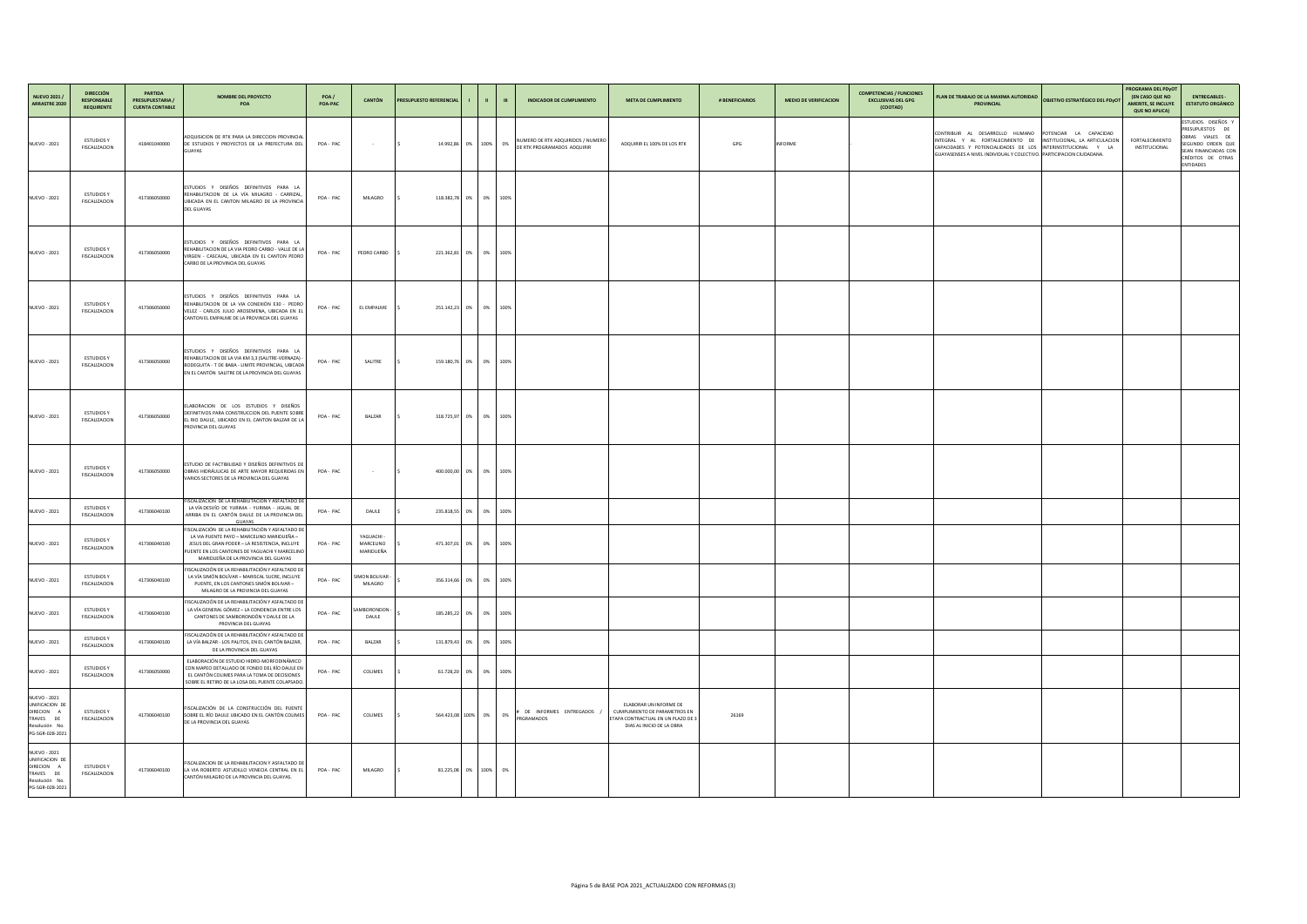| <b>D</b> | <b>OBJETIVO ESTRATÉGICO DEL PDYOT</b>                                                                               | PROGRAMA DEL PDyOT<br><b>(EN CASO QUE NO</b><br><b>AMERITE, SE INCLUYE</b><br><b>QUE NO APLICA)</b> | <b>ENTREGABLES -</b><br><b>ESTATUTO ORGÁNICO</b>                                                                                                          |
|----------|---------------------------------------------------------------------------------------------------------------------|-----------------------------------------------------------------------------------------------------|-----------------------------------------------------------------------------------------------------------------------------------------------------------|
| S        | POTENCIAR LA CAPACIDAD<br>INSTITUCIONAL, LA ARTICULACION<br>INTERINSTITUCIONAL Y LA<br>VO. PARTICIPACION CIUDADANA. | <b>FORTALECIMIENTO</b><br>INSTITUCIONAL                                                             | ESTUDIOS. DISEÑOS Y<br><b>PRESUPUESTOS</b><br>DE<br>OBRAS VIALES DE<br>SEGUNDO ORDEN QUE<br>SEAN FINANCIADAS CON<br>CRÉDITOS DE OTRAS<br><b>ENTIDADES</b> |
|          |                                                                                                                     |                                                                                                     |                                                                                                                                                           |
|          |                                                                                                                     |                                                                                                     |                                                                                                                                                           |
|          |                                                                                                                     |                                                                                                     |                                                                                                                                                           |
|          |                                                                                                                     |                                                                                                     |                                                                                                                                                           |
|          |                                                                                                                     |                                                                                                     |                                                                                                                                                           |
|          |                                                                                                                     |                                                                                                     |                                                                                                                                                           |
|          |                                                                                                                     |                                                                                                     |                                                                                                                                                           |
|          |                                                                                                                     |                                                                                                     |                                                                                                                                                           |
|          |                                                                                                                     |                                                                                                     |                                                                                                                                                           |
|          |                                                                                                                     |                                                                                                     |                                                                                                                                                           |
|          |                                                                                                                     |                                                                                                     |                                                                                                                                                           |
|          |                                                                                                                     |                                                                                                     |                                                                                                                                                           |
|          |                                                                                                                     |                                                                                                     |                                                                                                                                                           |
|          |                                                                                                                     |                                                                                                     |                                                                                                                                                           |

| <b>CANTÓN</b>                            | <b>PRESUPUESTO REFERENCIAL</b> |    | - III | $\mathbf{H}$ | <b>INDICADOR DE CUMPLIMIENTO</b>                                 | <b>META DE CUMPLIMIENTO</b>                                                                                                | # BENEFICIARIOS | <b>MEDIO DE VERIFICACION</b> | <b>COMPETENCIAS / FUNCIONES</b><br><b>EXCLUSIVAS DEL GPG</b><br>(COOTAD) | PLAN DE TRABAJO DE LA MAXIMA AUTORIDAD<br><b>PROVINCIAL</b>                                                                                                |
|------------------------------------------|--------------------------------|----|-------|--------------|------------------------------------------------------------------|----------------------------------------------------------------------------------------------------------------------------|-----------------|------------------------------|--------------------------------------------------------------------------|------------------------------------------------------------------------------------------------------------------------------------------------------------|
| $\sim$ $-$                               | 14.992,86<br>  \$              | 0% | 100%  | 0%           | NUMERO DE RTK ADQUIRIDOS / NUMERO<br>DE RTK PROGRAMADOS ADQUIRIR | ADQUIRIR EL 100% DE LOS RTK                                                                                                | GPG             | <b>INFORME</b>               |                                                                          | CONTRIBUIR AL DESARROLLO HUMANO<br>INTEGRAL Y AL FORTALECIMIENTO DE<br>CAPACIDADES Y POTENCIALIDADES DE LOS<br>GUAYASENSES A NIVEL INDIVIDUAL Y COLECTIVO. |
| MILAGRO                                  | 118.382,78 0%<br>l \$          |    | 0%    | 100%         |                                                                  |                                                                                                                            |                 |                              |                                                                          |                                                                                                                                                            |
| DRO CARBO                                | 221.362,81<br>l \$             | 0% | 0%    | 100%         |                                                                  |                                                                                                                            |                 |                              |                                                                          |                                                                                                                                                            |
| EMPALME                                  | 251.142,23 0%<br>۱\$           |    | 0%    | 100%         |                                                                  |                                                                                                                            |                 |                              |                                                                          |                                                                                                                                                            |
| SALITRE                                  | 159.180,76 0%<br>l \$          |    | 0%    | 100%         |                                                                  |                                                                                                                            |                 |                              |                                                                          |                                                                                                                                                            |
| <b>BALZAR</b>                            | 318.725,97 0%<br>l \$          |    | 0%    | 100%         |                                                                  |                                                                                                                            |                 |                              |                                                                          |                                                                                                                                                            |
| $\sim$ $-$                               | 400.000,00<br>  \$             | 0% | 0%    | 100%         |                                                                  |                                                                                                                            |                 |                              |                                                                          |                                                                                                                                                            |
| <b>DAULE</b>                             | 235.818,55 0%<br>l S           |    | 0%    | 100%         |                                                                  |                                                                                                                            |                 |                              |                                                                          |                                                                                                                                                            |
| <b>AGUACHI -</b><br>ARCELINO<br>ARIDUEÑA | 471.307,01 0%<br>  \$          |    | 0%    | 100%         |                                                                  |                                                                                                                            |                 |                              |                                                                          |                                                                                                                                                            |
| <b>DN BOLIVAR -</b><br>MILAGRO           | \$<br>356.314,66 0%            |    | 0%    | 100%         |                                                                  |                                                                                                                            |                 |                              |                                                                          |                                                                                                                                                            |
| BORONDON -<br>DAULE                      | $\frac{1}{2}$<br>185.285,22 0% |    | 0%    | 100%         |                                                                  |                                                                                                                            |                 |                              |                                                                          |                                                                                                                                                            |
| <b>BALZAR</b>                            | 131.879,43 0%                  |    | 0%    | 100%         |                                                                  |                                                                                                                            |                 |                              |                                                                          |                                                                                                                                                            |
| COLIMES                                  | 61.728,20 0%<br>  \$           |    | 0%    | 100%         |                                                                  |                                                                                                                            |                 |                              |                                                                          |                                                                                                                                                            |
| COLIMES                                  | 564.423,08 100%<br>  \$        |    | 0%    | 0%           | # DE INFORMES ENTREGADOS /<br>PRGRAMADOS                         | ELABORAR UN INFORME DE<br>CUMPLIMIENTO DE PARAMETROS EN<br>ETAPA CONTRACTUAL EN UN PLAZO DE 3<br>DIAS AL INICIO DE LA OBRA | 26169           |                              |                                                                          |                                                                                                                                                            |
| MILAGRO                                  | 81.225,08 0% 100%<br>  \$      |    |       | 0%           |                                                                  |                                                                                                                            |                 |                              |                                                                          |                                                                                                                                                            |
|                                          |                                |    |       |              |                                                                  |                                                                                                                            |                 |                              |                                                                          |                                                                                                                                                            |

| <b>NUEVO 2021 /</b><br><b>ARRASTRE 2020</b>                                                                     | <b>DIRECCIÓN</b><br><b>RESPONSABLE</b><br><b>REQUIRENTE</b> | <b>PARTIDA</b><br><b>PRESUPUESTARIA /</b><br><b>CUENTA CONTABLE</b> | <b>NOMBRE DEL PROYECTO</b><br><b>POA</b>                                                                                                                                                                                                    | POA/<br>POA-PAC | <b>CANTÓN</b>                               | <b>PRESUPUESTO REFERENCIAL</b>    | -1 | $\mathbf{u}$ | $\mathbf{m}$ |
|-----------------------------------------------------------------------------------------------------------------|-------------------------------------------------------------|---------------------------------------------------------------------|---------------------------------------------------------------------------------------------------------------------------------------------------------------------------------------------------------------------------------------------|-----------------|---------------------------------------------|-----------------------------------|----|--------------|--------------|
| <b>NUEVO - 2021</b>                                                                                             | <b>ESTUDIOS Y</b><br><b>FISCALIZACION</b>                   | 418401040000                                                        | ADQUISICION DE RTK PARA LA DIRECCION PROVINCIAL<br>DE ESTUDIOS Y PROYECTOS DE LA PREFECTURA DEL<br><b>GUAYAS</b>                                                                                                                            | POA - PAC       |                                             | \$<br>14.992,86                   | 0% | 100%         | 0%           |
| <b>NUEVO - 2021</b>                                                                                             | <b>ESTUDIOS Y</b><br><b>FISCALIZACION</b>                   | 417306050000                                                        | ESTUDIOS Y DISEÑOS DEFINITIVOS PARA LA<br>REHABILITACION DE LA VÍA MILAGRO - CARRIZAL,<br>UBICADA EN EL CANTON MILAGRO DE LA PROVINCIA<br><b>DEL GUAYAS</b>                                                                                 | POA - PAC       | <b>MILAGRO</b>                              | \$<br>118.382,78                  | 0% | 0%           | 100%         |
| <b>NUEVO - 2021</b>                                                                                             | <b>ESTUDIOS Y</b><br>FISCALIZACION                          | 417306050000                                                        | ESTUDIOS Y DISEÑOS DEFINITIVOS PARA LA<br>REHABILITACION DE LA VIA PEDRO CARBO - VALLE DE LA<br>VIRGEN - CASCAJAL, UBICADA EN EL CANTON PEDRO<br>CARBO DE LA PROVINCIA DEL GUAYAS                                                           | POA - PAC       | PEDRO CARBO                                 | \$<br>221.362,81                  | 0% | 0%           | 100%         |
| <b>NUEVO - 2021</b>                                                                                             | <b>ESTUDIOS Y</b><br><b>FISCALIZACION</b>                   | 417306050000                                                        | ESTUDIOS Y DISEÑOS DEFINITIVOS PARA LA<br>REHABILITACION DE LA VIA CONEXIÓN E30 - PEDRO<br>VELEZ - CARLOS JULIO AROSEMENA, UBICADA EN EL<br>CANTON EL EMPALME DE LA PROVINCIA DEL GUAYAS                                                    | POA - PAC       | EL EMPALME                                  | \$<br>251.142,23                  | 0% | 0%           | 100%         |
| NUEVO - 2021                                                                                                    | <b>ESTUDIOS Y</b><br><b>FISCALIZACION</b>                   | 417306050000                                                        | ESTUDIOS Y DISEÑOS DEFINITIVOS PARA LA<br>REHABILITACION DE LA VIA KM 3,3 (SALITRE-VERNAZA) -<br>BODEGUITA - T DE BABA - LIMITE PROVINCIAL, UBICADA<br>EN EL CANTÓN SALITRE DE LA PROVINCIA DEL GUAYAS                                      | POA - PAC       | SALITRE                                     | \$<br>159.180,76                  | 0% | 0%           | 100%         |
| <b>NUEVO - 2021</b>                                                                                             | <b>ESTUDIOS Y</b><br><b>FISCALIZACION</b>                   | 417306050000                                                        | ELABORACION DE LOS ESTUDIOS Y DISEÑOS<br>DEFINITIVOS PARA CONSTRUCCION DEL PUENTE SOBRE<br>EL RIO DAULE, UBICADO EN EL CANTON BALZAR DE LA<br>PROVINCIA DEL GUAYAS                                                                          | POA - PAC       | <b>BALZAR</b>                               | \$<br>318.725,97                  | 0% | 0%           | 100%         |
| <b>NUEVO - 2021</b>                                                                                             | <b>ESTUDIOS Y</b><br><b>FISCALIZACION</b>                   | 417306050000                                                        | ESTUDIO DE FACTIBILIDAD Y DISEÑOS DEFINITIVOS DE<br>OBRAS HIDRÁULICAS DE ARTE MAYOR REQUERIDAS EN<br>VARIOS SECTORES DE LA PROVINCIA DEL GUAYAS                                                                                             | POA - PAC       |                                             | 400.000,00<br>\$                  | 0% | 0%           | 100%         |
| <b>NUEVO - 2021</b>                                                                                             | <b>ESTUDIOS Y</b><br><b>FISCALIZACION</b>                   | 417306040100                                                        | FISCALIZACIÓN DE LA REHABILITACIÓN Y ASFALTADO DE<br>LA VÍA DESVÍO DE YURIMA - YURIMA - JIGUAL DE<br>ARRIBA EN EL CANTÓN DAULE DE LA PROVINCIA DEL<br><b>GUAYAS</b>                                                                         | POA - PAC       | <b>DAULE</b>                                | \$<br>235.818,55                  | 0% | 0%           | 100%         |
| NUEVO - 2021                                                                                                    | <b>ESTUDIOS Y</b><br>FISCALIZACION                          | 417306040100                                                        | FISCALIZACIÓN DE LA REHABILITACIÓN Y ASFALTADO DE<br>LA VIA PUENTE PAYO - MARCELINO MARIDUEÑA -<br>JESUS DEL GRAN PODER - LA RESISTENCIA, INCLUYE<br>PUENTE EN LOS CANTONES DE YAGUACHI Y MARCELINO<br>MARIDUEÑA DE LA PROVINCIA DEL GUAYAS | POA - PAC       | YAGUACHI -<br><b>MARCELINO</b><br>MARIDUEÑA | $\ddot{\mathsf{S}}$<br>471.307,01 | 0% | 0%           | 100%         |
| <b>NUEVO - 2021</b>                                                                                             | <b>ESTUDIOS Y</b><br><b>FISCALIZACION</b>                   | 417306040100                                                        | FISCALIZACIÓN DE LA REHABILITACIÓN Y ASFALTADO DE<br>LA VÍA SIMÓN BOLÍVAR - MARISCAL SUCRE, INCLUYE<br>PUENTE, EN LOS CANTONES SIMÓN BOLIVAR -<br>MILAGRO DE LA PROVINCIA DEL GUAYAS                                                        | POA - PAC       | SIMON BOLIVAR -<br><b>MILAGRO</b>           | \$<br>356.314,66                  | 0% | 0%           | 100%         |
| <b>NUEVO - 2021</b>                                                                                             | <b>ESTUDIOS Y</b><br><b>FISCALIZACION</b>                   | 417306040100                                                        | FISCALIZACIÓN DE LA REHABILITACIÓN Y ASFALTADO DE<br>LA VÍA GENERAL GÓMEZ - LA CONDENCIA ENTRE LOS<br>CANTONES DE SAMBORONDÓN Y DAULE DE LA<br>PROVINCIA DEL GUAYAS                                                                         | POA-PAC         | SAMBORONDON -<br><b>DAULE</b>               | \$<br>185.285,22                  | 0% | 0%           | 100%         |
| <b>NUEVO - 2021</b>                                                                                             | <b>ESTUDIOS Y</b><br><b>FISCALIZACION</b>                   | 417306040100                                                        | FISCALIZACIÓN DE LA REHABILITACIÓN Y ASFALTADO DE<br>LA VÍA BALZAR - LOS PALITOS, EN EL CANTÓN BALZAR,<br>DE LA PROVINCIA DEL GUAYAS                                                                                                        | POA-PAC         | BALZAR                                      | \$<br>131.879,43                  | 0% | 0%           | 100%         |
| NUEVO - 2021                                                                                                    | <b>ESTUDIOS Y</b><br><b>FISCALIZACION</b>                   | 417306050000                                                        | ELABORACIÓN DE ESTUDIO HIDRO-MORFODINÁMICO<br>CON MAPEO DETALLADO DE FONDO DEL RÍO DAULE EN<br>EL CANTÓN COLIMES PARA LA TOMA DE DECISIONES<br>SOBRE EL RETIRO DE LA LOSA DEL PUENTE COLAPSADO.                                             | POA - PAC       | <b>COLIMES</b>                              | \$<br>61.728,20                   | 0% | 0%           | 100%         |
| <b>NUEVO - 2021</b><br>UNIFICACION DE<br>DIRECION A<br><b>TRAVES</b><br>DE<br>Resolución No.<br>PG-SGR-028-2021 | <b>ESTUDIOS Y</b><br><b>FISCALIZACION</b>                   | 417306040100                                                        | FISCALIZACIÓN DE LA CONSTRUCCIÓN DEL PUENTE<br>SOBRE EL RÍO DAULE UBICADO EN EL CANTÓN COLIMES<br>DE LA PROVINCIA DEL GUAYAS                                                                                                                | POA - PAC       | <b>COLIMES</b>                              | \$<br>564.423,08 100%             |    | 0%           | 0%           |
| <b>NUEVO - 2021</b><br>UNIFICACION DE<br>DIRECION A<br><b>TRAVES</b><br>DE<br>Resolución No.<br>PG-SGR-028-2021 | <b>ESTUDIOS Y</b><br>FISCALIZACION                          | 417306040100                                                        | FISCALIZACION DE LA REHABILITACION Y ASFALTADO DE<br>LA VIA ROBERTO ASTUDILLO VENECIA CENTRAL EN EL<br>CANTÓN MILAGRO DE LA PROVINCIA DEL GUAYAS.                                                                                           | POA - PAC       | <b>MILAGRO</b>                              | \$<br>81.225,08                   | 0% | 100%         | 0%           |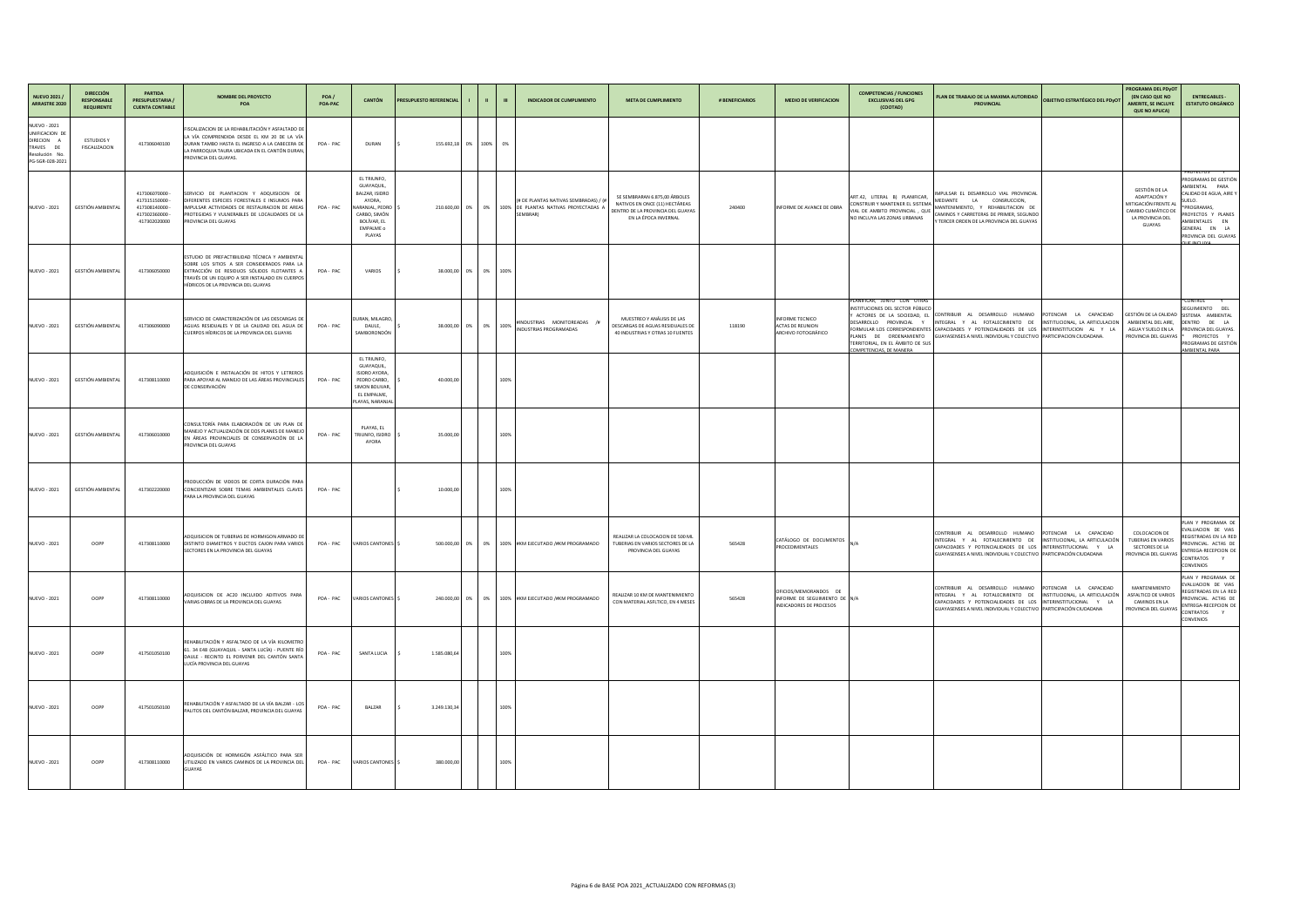| ١D                   | <b>OBJETIVO ESTRATÉGICO DEL PDyOT</b>                                                                                               | PROGRAMA DEL PDyOT<br><b>(EN CASO QUE NO</b><br><b>AMERITE, SE INCLUYE</b><br><b>QUE NO APLICA)</b>                      | <b>ENTREGABLES -</b><br><b>ESTATUTO ORGÁNICO</b>                                                                                                                                                                              |
|----------------------|-------------------------------------------------------------------------------------------------------------------------------------|--------------------------------------------------------------------------------------------------------------------------|-------------------------------------------------------------------------------------------------------------------------------------------------------------------------------------------------------------------------------|
|                      |                                                                                                                                     |                                                                                                                          |                                                                                                                                                                                                                               |
| ۹L<br>E,<br>ЭO<br>١S |                                                                                                                                     | <b>GESTIÓN DE LA</b><br>ADAPTACIÓN Y<br>MITIGACIÓN FRENTE AL<br>CAMBIO CLIMÁTICO DE<br>LA PROVINCIA DEL<br><b>GUAYAS</b> | *PROYECTOS<br>Υ<br>PROGRAMAS DE GESTIÓN<br>AMBIENTAL<br>PARA<br>CALIDAD DE AGUA, AIRE Y<br>SUELO.<br>*PROGRAMAS,<br>PROYECTOS Y PLANES<br>AMBIENTALES<br><b>EN</b><br>GENERAL EN<br>LA<br>PROVINCIA DEL GUAYAS<br>QUE INCLUVA |
|                      |                                                                                                                                     |                                                                                                                          |                                                                                                                                                                                                                               |
| ıS.                  | POTENCIAR<br><b>LA</b><br>CAPACIDAD<br>INSTITUCIONAL, LA ARTICULACION<br>INTERINSTITUCION AL Y<br>LA<br>VO PARTICIPACION CIUDADANA. | GESTIÓN DE LA CALIDAD<br>AMBIENTAL DEL AIRE,<br>AGUA Y SUELO EN LA<br>PROVINCIA DEL GUAYAS                               | Ÿ<br>*CONTROL<br>SEGUIMIENTO<br><b>DEL</b><br>SISTEMA AMBIENTAL<br>DENTRO<br>DE<br>LA<br>PROVINCIA DEL GUAYAS.<br>$\ast$<br><b>PROYECTOS</b><br>Y<br>PROGRAMAS DE GESTIÓN<br><b>AMBIENTAL PARA</b>                            |
|                      |                                                                                                                                     |                                                                                                                          |                                                                                                                                                                                                                               |
|                      |                                                                                                                                     |                                                                                                                          |                                                                                                                                                                                                                               |
| ıS.<br>VO            | POTENCIAR LA<br>CAPACIDAD<br>INSTITUCIONAL, LA ARTICULACIÓN<br>INTERINSTITUCIONAL<br>Y -<br>LA<br>PARTICIPACIÓN CIUDADANA           | <b>COLOCACION DE</b><br><b>TUBERIAS EN VARIOS</b><br><b>SECTORES DE LA</b><br>PROVINCIA DEL GUAYAS                       | PLAN Y PROGRAMA DE<br>EVALUACION DE VIAS<br>REGISTRADAS EN LA RED<br>PROVINCIAL. ACTAS DE<br>ENTREGA-RECEPCION DE<br>CONTRATOS<br>Y<br><b>CONVENIOS</b>                                                                       |
| S<br>VO              | <b>POTENCIAR</b><br>LA CAPACIDAD<br>INSTITUCIONAL, LA ARTICULACIÓN<br>INTERINSTITUCIONAL Y<br>LA<br>PARTICIPACIÓN CIUDADANA         | MANTENIMIENTO<br>ASFALTICO DE VARIOS<br>CAMINOS EN LA<br>PROVINCIA DEL GUAYAS                                            | PLAN Y PROGRAMA DE<br>EVALUACION DE VIAS<br>REGISTRADAS EN LA RED<br>PROVINCIAL. ACTAS DE<br>ENTREGA-RECEPCION DE<br><b>CONTRATOS</b><br>Y<br><b>CONVENIOS</b>                                                                |
|                      |                                                                                                                                     |                                                                                                                          |                                                                                                                                                                                                                               |
|                      |                                                                                                                                     |                                                                                                                          |                                                                                                                                                                                                                               |
|                      |                                                                                                                                     |                                                                                                                          |                                                                                                                                                                                                                               |

| NUEVO 2021 /<br>ARRASTRE 2020                                                                         | <b>DIRECCIÓN</b><br><b>RESPONSABLE</b><br><b>REQUIRENTE</b> | <b>PARTIDA</b><br><b>PRESUPUESTARIA /</b><br><b>CUENTA CONTABLE</b>          | <b>NOMBRE DEL PROYECTO</b><br>POA                                                                                                                                                                                                    | POA/<br>POA-PAC | <b>CANTÓN</b>                                                                                                                              | PRESUPUESTO REFERENCIAL |            | $\blacksquare$ | <b>INDICADOR DE CUMPLIMIENTO</b>                                                                   | <b>META DE CUMPLIMIENTO</b>                                                                                                  | # BENEFICIARIOS | <b>MEDIO DE VERIFICACION</b>                                                             | <b>COMPETENCIAS / FUNCIONES</b><br><b>EXCLUSIVAS DEL GPG</b><br>(COOTAD)                                                                                                                | PLAN DE TRABAJO DE LA MAXIMA AUTORIDAD<br><b>PROVINCIAL</b>                                                                                                                                                   |
|-------------------------------------------------------------------------------------------------------|-------------------------------------------------------------|------------------------------------------------------------------------------|--------------------------------------------------------------------------------------------------------------------------------------------------------------------------------------------------------------------------------------|-----------------|--------------------------------------------------------------------------------------------------------------------------------------------|-------------------------|------------|----------------|----------------------------------------------------------------------------------------------------|------------------------------------------------------------------------------------------------------------------------------|-----------------|------------------------------------------------------------------------------------------|-----------------------------------------------------------------------------------------------------------------------------------------------------------------------------------------|---------------------------------------------------------------------------------------------------------------------------------------------------------------------------------------------------------------|
| <b>NUEVO - 2021</b><br>UNIFICACION DE<br>DIRECION A<br>TRAVES DE<br>Resolución No.<br>PG-SGR-028-2021 | <b>ESTUDIOS Y</b><br>FISCALIZACION                          | 417306040100                                                                 | FISCALIZACION DE LA REHABILITACIÓN Y ASFALTADO DE<br>LA VÍA COMPRENDIDA DESDE EL KM 20 DE LA VÍA<br>DURAN TAMBO HASTA EL INGRESO A LA CABECERA DE<br>LA PARROQUIA TAURA UBICADA EN EL CANTÓN DURAN,<br>PROVINCIA DEL GUAYAS.         | POA-PAC         | DURAN                                                                                                                                      | 155.692,18              | 0% 100% 0% |                |                                                                                                    |                                                                                                                              |                 |                                                                                          |                                                                                                                                                                                         |                                                                                                                                                                                                               |
| <b>NUEVO - 2021</b>                                                                                   | GESTIÓN AMBIENTAL                                           | 417306070000<br>417315150000<br>417308140000<br>417302360000<br>417302020000 | SERVICIO DE PLANTACION Y ADQUISICION DE<br>DIFERENTES ESPECIES FORESTALES E INSUMOS PARA<br>IMPULSAR ACTIVIDADES DE RESTAURACION DE AREAS<br>PROTEGIDAS Y VULNERABLES DE LOCALIDADES DE LA<br>PROVINCIA DEL GUAYAS                   | POA-PAC         | EL TRIUNFO,<br>GUAYAQUIL,<br>BALZAR, ISIDRO<br>AYORA,<br>NARANJAL, PEDRO   \$<br>CARBO, SIMÓN<br>BOLÍVAR, EL<br><b>EMPALME o</b><br>PLAYAS | 210.600,00 0%           | 0%         |                | (# DE PLANTAS NATIVAS SEMBRADAS) / (#<br>100% DE PLANTAS NATIVAS PROYECTADAS A<br><b>SEMBRAR</b> ) | SE SEMBRARAN 6.875,00 ÁRBOLES<br>NATIVOS EN ONCE (11) HECTÁREAS<br>DENTRO DE LA PROVINCIA DEL GUAYAS<br>EN LA ÉPOCA INVERNAL | 240400          | INFORME DE AVANCE DE OBRA                                                                | ART.42, LITERAL B) PLANIFICAR,<br>CONSTRUIR Y MANTENER EL SISTEMA<br>VIAL DE AMBITO PROVINCIAL, QUE<br>NO INCLUYA LAS ZONAS URBANAS                                                     | IMPULSAR EL DESARROLLO VIAL PROVINCIAL<br><b>LA</b><br>CONSRUCCION,<br>MEDIANTE<br>MANTENIMIENTO, Y REHABILITACION DE<br>CAMINOS Y CARRETERAS DE PRIMER, SEGUNDO<br>Y TERCER ORDEN DE LA PROVINCIA DEL GUAYAS |
| NUEVO - 2021                                                                                          | GESTIÓN AMBIENTAL                                           | 417306050000                                                                 | ESTUDIO DE PREFACTIBILIDAD TÉCNICA Y AMBIENTAL<br>SOBRE LOS SITIOS A SER CONSIDERADOS PARA LA<br>EXTRACCIÓN DE RESIDUOS SÓLIDOS FLOTANTES A<br>TRAVÉS DE UN EQUIPO A SER INSTALADO EN CUERPOS<br>HÍDRICOS DE LA PROVINCIA DEL GUAYAS | POA-PAC         | <b>VARIOS</b>                                                                                                                              | 38.000,00<br>0%         | 0%         | 100%           |                                                                                                    |                                                                                                                              |                 |                                                                                          |                                                                                                                                                                                         |                                                                                                                                                                                                               |
| <b>NUEVO - 2021</b>                                                                                   | GESTIÓN AMBIENTAL                                           | 417306090000                                                                 | SERVICIO DE CARACTERIZACIÓN DE LAS DESCARGAS DE<br>AGUAS RESIDUALES Y DE LA CALIDAD DEL AGUA DE<br>CUERPOS HÍDRICOS DE LA PROVINCIA DEL GUAYAS                                                                                       | POA-PAC         | DURAN, MILAGRO<br>DAULE,<br>SAMBORONDÓN                                                                                                    | $0\%$<br>38.000,00      |            | 0% 100%        | #INDUSTRIAS MONITOREADAS /#<br>INDUSTRIAS PROGRAMADAS                                              | MUESTREO Y ANÁLISIS DE LAS<br>DESCARGAS DE AGUAS RESIDUALES DE<br>40 INDUSTRIAS Y OTRAS 10 FUENTES                           | 118190          | <b>INFORME TECNICO</b><br><b>ACTAS DE REUNION</b><br>ARCHIVO FOTOGRÁFICO                 | PLANIFICAR, JUNTO CON OTRAS<br>INSTITUCIONES DEL SECTOR PÚBLICO<br>Y ACTORES DE LA SOCIEDAD, EL<br>DESARROLLO PROVINCIAL<br>TERRITORIAL, EN EL ÁMBITO DE SUS<br>COMPETENCIAS, DE MANERA | CONTRIBUIR AL DESARROLLO HUMANO<br>INTEGRAL Y AL FOTALECIMIENTO DE<br>FORMULAR LOS CORRESPONDIENTES CAPACIDADES Y POTENCIALIDADES DE LOS<br>PLANES DE ORDENAMIENTO GUAYASENSES A NIVEL INDIVIDUAL Y COLECTIVO |
| <b>NUEVO - 2021</b>                                                                                   | <b>GESTIÓN AMBIENTAL</b>                                    | 417308110000                                                                 | ADQUISICIÓN E INSTALACIÓN DE HITOS Y LETREROS<br>PARA APOYAR AL MANEJO DE LAS ÁREAS PROVINCIALES<br>DE CONSERVACIÓN                                                                                                                  | POA - PAC       | EL TRIUNFO,<br>GUAYAQUIL,<br>ISIDRO AYORA,<br>PEDRO CARBO,<br>SIMON BOLIVAR,<br>EL EMPALME,<br>PLAYAS, NARANJA                             | 40.000,00               |            | 100%           |                                                                                                    |                                                                                                                              |                 |                                                                                          |                                                                                                                                                                                         |                                                                                                                                                                                                               |
| NUEVO - 2021                                                                                          | GESTIÓN AMBIENTAL                                           | 417306010000                                                                 | CONSULTORÍA PARA ELABORACIÓN DE UN PLAN DE<br>MANEJO Y ACTUALIZACIÓN DE DOS PLANES DE MANEJO<br>EN ÁREAS PROVINCIALES DE CONSERVACIÓN DE LA<br>PROVINCIA DEL GUAYAS                                                                  | POA-PAC         | PLAYAS, EL<br>TRIUNFO, ISIDRO<br>AYORA                                                                                                     | 35.000,00               |            | 100%           |                                                                                                    |                                                                                                                              |                 |                                                                                          |                                                                                                                                                                                         |                                                                                                                                                                                                               |
| <b>NUEVO - 2021</b>                                                                                   | GESTIÓN AMBIENTAL                                           | 417302220000                                                                 | PRODUCCIÓN DE VIDEOS DE CORTA DURACIÓN PARA<br>CONCIENTIZAR SOBRE TEMAS AMBIENTALES CLAVES<br>PARA LA PROVINCIA DEL GUAYAS                                                                                                           | POA-PAC         |                                                                                                                                            | 10.000,00               |            | 100%           |                                                                                                    |                                                                                                                              |                 |                                                                                          |                                                                                                                                                                                         |                                                                                                                                                                                                               |
| <b>NUEVO - 2021</b>                                                                                   | OOPP                                                        | 417308110000                                                                 | ADQUISICION DE TUBERIAS DE HORMIGON ARMADO DE<br>DISTINTO DIAMETROS Y DUCTOS CAJON PARA VARIOS<br>SECTORES EN LA PROVINCIA DEL GUAYAS                                                                                                | POA-PAC         | VARIOS CANTONES \$                                                                                                                         |                         |            |                | 500.000,00 0% 0% 0% 100% #KM EJECUTADO /#KM PROGRAMADO                                             | REALIZAR LA COLOCACION DE 500 ML<br>TUBERIAS EN VARIOS SECTORES DE LA<br>PROVINCIA DEL GUAYAS                                | 565428          | CATÁLOGO DE DOCUMENTOS<br>PROCEDIMENTALES                                                | IN/A                                                                                                                                                                                    | CONTRIBUIR AL DESARROLLO HUMANO<br>INTEGRAL Y AL FOTALECIMIENTO DE<br>CAPACIDADES Y POTENCIALIDADES DE LOS<br>GUAYASENSES A NIVEL INDIVIDUAL Y COLECTIVO                                                      |
| <b>NUEVO - 2021</b>                                                                                   | <b>OOPP</b>                                                 | 417308110000                                                                 | ADQUISICION DE AC20 INCLUIDO ADITIVOS PARA<br>VARIAS OBRAS DE LA PROVINCIA DEL GUAYAS                                                                                                                                                | POA-PAC         | VARIOS CANTONES \$                                                                                                                         |                         |            |                | 240.000,00 0% 0% 0% 100% #KM EJECUTADO /#KM PROGRAMADO                                             | REALIZAR 10 KM DE MANTENIMIENTO<br>CON MATERIAL ASFLTICO, EN 4 MESES                                                         | 565428          | OFICIOS/MEMORANDOS DE<br>INFORME DE SEGUIMIENTO DE N/A<br><b>INDICADORES DE PROCESOS</b> |                                                                                                                                                                                         | CONTRIBUIR AL DESARROLLO HUMANO<br>INTEGRAL Y AL FOTALECIMIENTO DE<br>CAPACIDADES Y POTENCIALIDADES DE LOS<br>GUAYASENSES A NIVEL INDIVIDUAL Y COLECTIVO                                                      |
| <b>NUEVO - 2021</b>                                                                                   | OOPP                                                        | 417501050100                                                                 | REHABILITACIÓN Y ASFALTADO DE LA VÍA KILOMETRO<br>61. 34 E48 (GUAYAQUIL - SANTA LUCÍA) - PUENTE RÍO<br>DAULE - RECINTO EL PORVENIR DEL CANTÓN SANTA<br>LUCÍA PROVINCIA DEL GUAYAS                                                    | POA-PAC         | SANTA LUCIA                                                                                                                                | 1.585.080,64            |            | 100%           |                                                                                                    |                                                                                                                              |                 |                                                                                          |                                                                                                                                                                                         |                                                                                                                                                                                                               |
| <b>NUEVO - 2021</b>                                                                                   | OOPP                                                        | 417501050100                                                                 | REHABILITACIÓN Y ASFALTADO DE LA VÍA BALZAR - LOS<br>PALITOS DEL CANTÓN BALZAR, PROVINCIA DEL GUAYAS                                                                                                                                 | POA-PAC         | <b>BALZAR</b>                                                                                                                              | 3.249.130,34            |            | 100%           |                                                                                                    |                                                                                                                              |                 |                                                                                          |                                                                                                                                                                                         |                                                                                                                                                                                                               |
| <b>NUEVO - 2021</b>                                                                                   | <b>OOPP</b>                                                 | 417308110000                                                                 | ADQUISICIÓN DE HORMIGÓN ASFÁLTICO PARA SER<br>UTILIZADO EN VARIOS CAMINOS DE LA PROVINCIA DEL<br><b>GUAYAS</b>                                                                                                                       | POA-PAC         | VARIOS CANTONES \$                                                                                                                         | 380.000,00              |            | 100%           |                                                                                                    |                                                                                                                              |                 |                                                                                          |                                                                                                                                                                                         |                                                                                                                                                                                                               |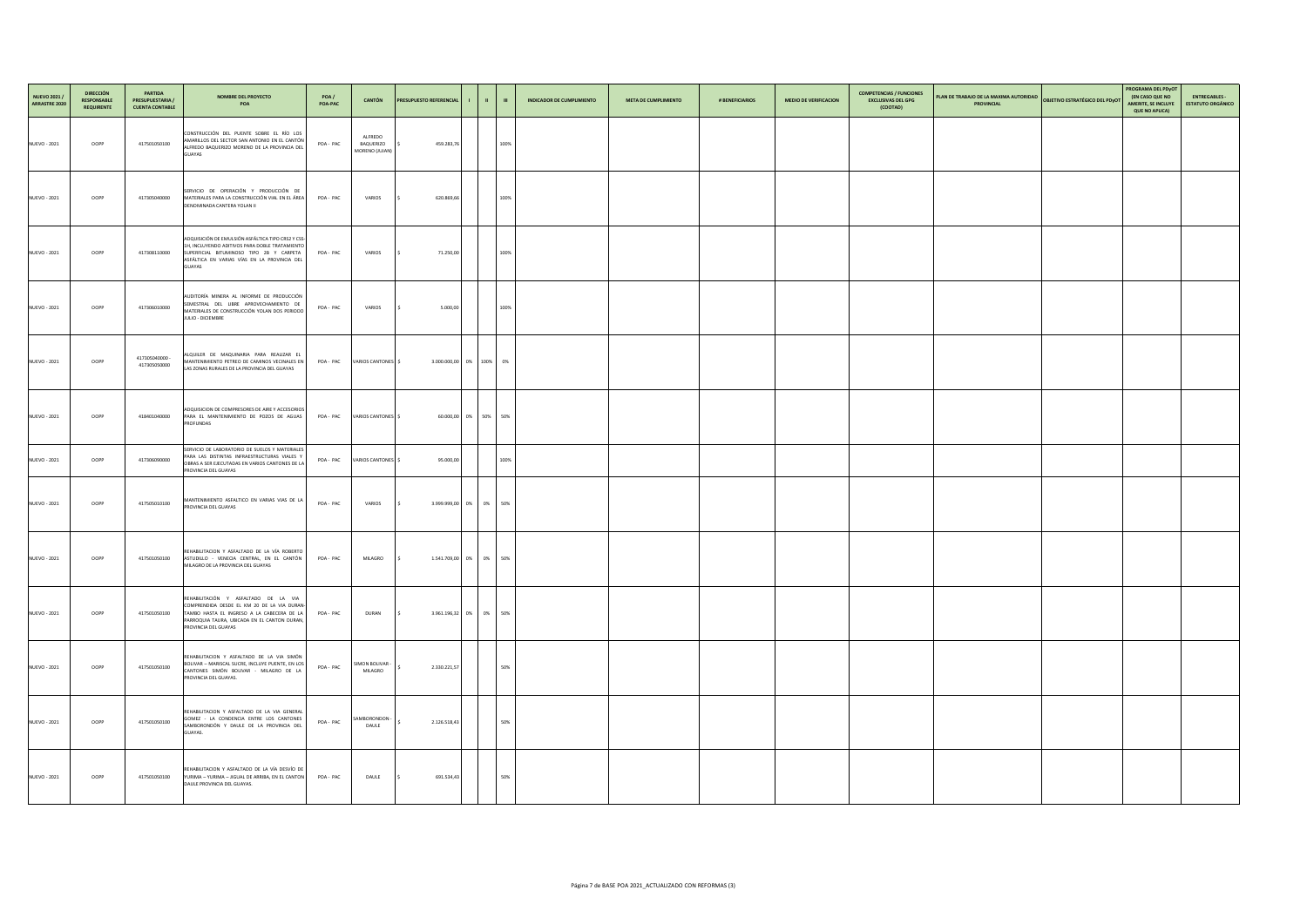| NUEVO 2021 /<br>ARRASTRE 2020 | <b>DIRECCIÓN</b><br><b>RESPONSABLE</b><br><b>REQUIRENTE</b> | <b>PARTIDA</b><br><b>PRESUPUESTARIA /</b><br><b>CUENTA CONTABLE</b> | <b>NOMBRE DEL PROYECTO</b><br>POA                                                                                                                                                                                 | POA /<br>POA-PAC | CANTÓN                                        | <b>PRESUPUESTO REFERENCIAL</b> |                         | -111 | <b>INDICADOR DE CUMPLIMIENTO</b> | <b>META DE CUMPLIMIENTO</b> | # BENEFICIARIOS | <b>MEDIO DE VERIFICACION</b> | <b>COMPETENCIAS / FUNCIONES</b><br><b>EXCLUSIVAS DEL GPG</b><br>(COOTAD) | PLAN DE TRABAJO DE LA MAXIMA AUTORIDAD OBJETIVO ESTRATÉGICO DEL PDYOT<br><b>PROVINCIAL</b> | PROGRAMA DEL PDyOT<br><b>(EN CASO QUE NO</b><br><b>AMERITE, SE INCLUYE</b><br><b>QUE NO APLICA)</b> | <b>ENTREGABLES -</b><br><b>ESTATUTO ORGÁNICO</b> |
|-------------------------------|-------------------------------------------------------------|---------------------------------------------------------------------|-------------------------------------------------------------------------------------------------------------------------------------------------------------------------------------------------------------------|------------------|-----------------------------------------------|--------------------------------|-------------------------|------|----------------------------------|-----------------------------|-----------------|------------------------------|--------------------------------------------------------------------------|--------------------------------------------------------------------------------------------|-----------------------------------------------------------------------------------------------------|--------------------------------------------------|
| <b>NUEVO - 2021</b>           | OOPP                                                        | 417501050100                                                        | CONSTRUCCIÓN DEL PUENTE SOBRE EL RÍO LOS<br>AMARILLOS DEL SECTOR SAN ANTONIO EN EL CANTÓN<br>ALFREDO BAQUERIZO MORENO DE LA PROVINCIA DEL<br><b>GUAYAS</b>                                                        | POA-PAC          | ALFREDO<br><b>BAQUERIZO</b><br>MORENO (JUJAN) | 459.283,76                     |                         | 100% |                                  |                             |                 |                              |                                                                          |                                                                                            |                                                                                                     |                                                  |
| <b>NUEVO - 2021</b>           | OOPP                                                        | 417305040000                                                        | SERVICIO DE OPERACIÓN Y PRODUCCIÓN DE<br>MATERIALES PARA LA CONSTRUCCIÓN VIAL EN EL ÁREA<br>DENOMINADA CANTERA YOLAN II                                                                                           | POA-PAC          | <b>VARIOS</b>                                 | 620.869,66                     |                         | 100% |                                  |                             |                 |                              |                                                                          |                                                                                            |                                                                                                     |                                                  |
| <b>NUEVO - 2021</b>           | OOPP                                                        | 417308110000                                                        | ADQUISICIÓN DE EMULSIÓN ASFÁLTICA TIPO CRS2 Y CSS-<br>1H, INCLUYENDO ADITIVOS PARA DOBLE TRATAMIENTO<br>SUPERFICIAL BITUMINOSO TIPO 2B Y CARPETA<br>ASFÁLTICA EN VARIAS VÍAS EN LA PROVINCIA DEL<br><b>GUAYAS</b> | POA-PAC          | <b>VARIOS</b>                                 | 71.250,00                      |                         | 100% |                                  |                             |                 |                              |                                                                          |                                                                                            |                                                                                                     |                                                  |
| <b>NUEVO - 2021</b>           | OOPP                                                        | 417306010000                                                        | AUDITORÍA MINERA AL INFORME DE PRODUCCIÓN<br>SEMESTRAL DEL LIBRE APROVECHAMIENTO DE<br>MATERIALES DE CONSTRUCCIÓN YOLAN DOS PERIODO<br>JULIO - DICIEMBRE                                                          | POA-PAC          | <b>VARIOS</b>                                 | 5.000,00                       |                         | 100% |                                  |                             |                 |                              |                                                                          |                                                                                            |                                                                                                     |                                                  |
| <b>NUEVO - 2021</b>           | OOPP                                                        | 417305040000 -<br>417305050000                                      | ALQUILER DE MAQUINARIA PARA REALIZAR EL<br>MANTENIMIENTO PETREO DE CAMINOS VECINALES EN<br>LAS ZONAS RURALES DE LA PROVINCIA DEL GUAYAS                                                                           |                  | POA - PAC VARIOS CANTONES \$                  |                                | 3.000.000,00 0% 100% 0% |      |                                  |                             |                 |                              |                                                                          |                                                                                            |                                                                                                     |                                                  |
| <b>NUEVO - 2021</b>           | OOPP                                                        | 418401040000                                                        | ADQUISICION DE COMPRESORES DE AIRE Y ACCESORIOS<br>PARA EL MANTENIMIENTO DE POZOS DE AGUAS<br><b>PROFUNDAS</b>                                                                                                    |                  | POA - PAC VARIOS CANTONES \$                  |                                | 60.000,00 0% 50% 50%    |      |                                  |                             |                 |                              |                                                                          |                                                                                            |                                                                                                     |                                                  |
| <b>NUEVO - 2021</b>           | OOPP                                                        | 417306090000                                                        | SERVICIO DE LABORATORIO DE SUELOS Y MATERIALES<br>PARA LAS DISTINTAS INFRAESTRUCTURAS VIALES Y<br>OBRAS A SER EJECUTADAS EN VARIOS CANTONES DE LA<br>PROVINCIA DEL GUAYAS                                         |                  | POA - PAC VARIOS CANTONES \$                  | 95.000,00                      |                         | 100% |                                  |                             |                 |                              |                                                                          |                                                                                            |                                                                                                     |                                                  |
| <b>NUEVO - 2021</b>           | OOPP                                                        | 417505010100                                                        | MANTENIMIENTO ASFALTICO EN VARIAS VIAS DE LA<br>PROVINCIA DEL GUAYAS                                                                                                                                              | POA-PAC          | <b>VARIOS</b>                                 |                                | 3.999.999,00 0% 0% 50%  |      |                                  |                             |                 |                              |                                                                          |                                                                                            |                                                                                                     |                                                  |
| <b>NUEVO - 2021</b>           | <b>OOPP</b>                                                 | 417501050100                                                        | REHABILITACION Y ASFALTADO DE LA VÍA ROBERTO<br>ASTUDILLO - VENECIA CENTRAL, EN EL CANTÓN<br>MILAGRO DE LA PROVINCIA DEL GUAYAS                                                                                   | POA-PAC          | <b>MILAGRO</b>                                |                                | 1.541.709,00 0% 0% 50%  |      |                                  |                             |                 |                              |                                                                          |                                                                                            |                                                                                                     |                                                  |
| <b>NUEVO - 2021</b>           | <b>OOPP</b>                                                 | 417501050100                                                        | REHABILITACIÓN Y ASFALTADO DE LA VIA<br>COMPRENDIDA DESDE EL KM 20 DE LA VIA DURAN-<br>TAMBO HASTA EL INGRESO A LA CABECERA DE LA<br>PARROQUIA TAURA, UBICADA EN EL CANTON DURAN,<br>PROVINCIA DEL GUAYAS         | POA-PAC          | <b>DURAN</b>                                  |                                | 3.961.196,32 0% 0% 50%  |      |                                  |                             |                 |                              |                                                                          |                                                                                            |                                                                                                     |                                                  |
| <b>NUEVO - 2021</b>           | OOPP                                                        | 417501050100                                                        | REHABILITACION Y ASFALTADO DE LA VIA SIMÓN<br>BOLIVAR - MARISCAL SUCRE, INCLUYE PUENTE, EN LOS<br>CANTONES SIMÓN BOLIVAR - MILAGRO DE LA<br>PROVINCIA DEL GUAYAS.                                                 | POA-PAC          | SIMON BOLIVAR -<br><b>MILAGRO</b>             | 2.330.221,57                   |                         | 50%  |                                  |                             |                 |                              |                                                                          |                                                                                            |                                                                                                     |                                                  |
| <b>NUEVO - 2021</b>           | OOPP                                                        | 417501050100                                                        | REHABILITACION Y ASFALTADO DE LA VIA GENERAL<br>GOMEZ - LA CONDENCIA ENTRE LOS CANTONES<br>SAMBORONDÓN Y DAULE DE LA PROVINCIA DEL<br>GUAYAS.                                                                     | POA-PAC          | SAMBORONDON -<br><b>DAULE</b>                 | 2.126.518,43                   |                         | 50%  |                                  |                             |                 |                              |                                                                          |                                                                                            |                                                                                                     |                                                  |
| <b>NUEVO - 2021</b>           | <b>OOPP</b>                                                 | 417501050100                                                        | REHABILITACION Y ASFALTADO DE LA VÍA DESVÍO DE<br>YURIMA - YURIMA - JIGUAL DE ARRIBA, EN EL CANTON<br>DAULE PROVINCIA DEL GUAYAS.                                                                                 | POA-PAC          | <b>DAULE</b>                                  | 691.534,43                     |                         | 50%  |                                  |                             |                 |                              |                                                                          |                                                                                            |                                                                                                     |                                                  |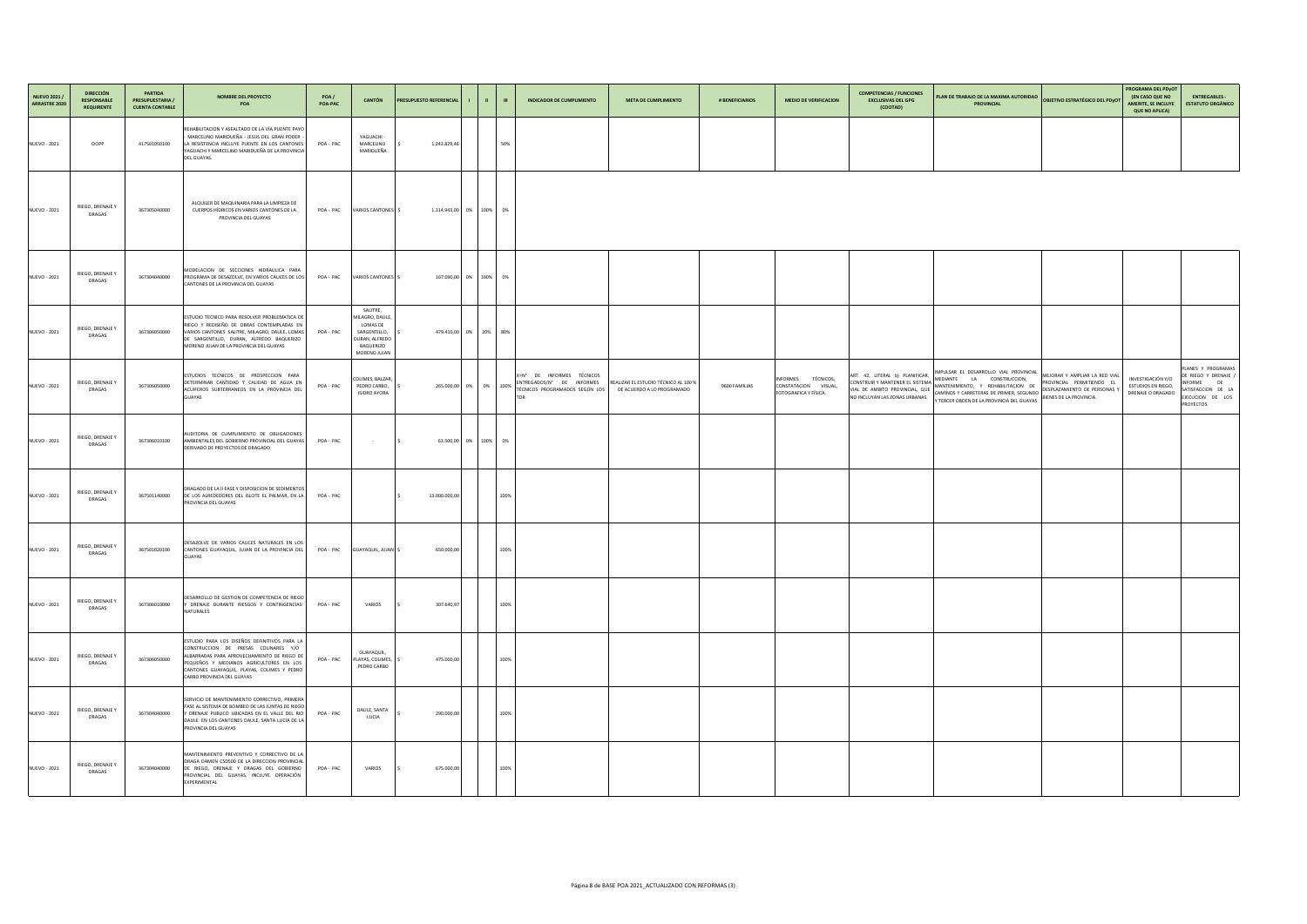| NUEVO 2021 /<br>ARRASTRE 2020 | <b>DIRECCIÓN</b><br><b>RESPONSABLE</b><br><b>REQUIRENTE</b> | <b>PARTIDA</b><br><b>PRESUPUESTARIA</b><br><b>CUENTA CONTABLE</b> | <b>NOMBRE DEL PROYECTO</b><br><b>POA</b>                                                                                                                                                                                                                    | POA/<br>POA-PAC | <b>CANTÓN</b>                                                                                                 | <b>PRESUPUESTO REFERENCIAL</b> | - 11 - 11               | <b>INDICADOR DE CUMPLIMIENTO</b><br>$\mathbf{m}$                                         | <b>META DE CUMPLIMIENTO</b>                                        | # BENEFICIARIOS | <b>MEDIO DE VERIFICACION</b>                                                         | <b>COMPETENCIAS / FUNCIONES</b><br><b>EXCLUSIVAS DEL GPG</b><br>(COOTAD) | PLAN DE TRABAJO DE LA MAXIMA AUTORIDAD OBJETIVO ESTRATÉGICO DEL PDYOT<br><b>PROVINCIAL</b>                                                                                                                                                                                                                                                                                                                                                                                  | PROGRAMA DEL PDyOT<br><b>(EN CASO QUE NO</b><br><b>ENTREGABLES -</b><br><b>ESTATUTO ORGÁNICO</b><br><b>AMERITE, SE INCLUYE</b><br><b>QUE NO APLICA)</b>                                |
|-------------------------------|-------------------------------------------------------------|-------------------------------------------------------------------|-------------------------------------------------------------------------------------------------------------------------------------------------------------------------------------------------------------------------------------------------------------|-----------------|---------------------------------------------------------------------------------------------------------------|--------------------------------|-------------------------|------------------------------------------------------------------------------------------|--------------------------------------------------------------------|-----------------|--------------------------------------------------------------------------------------|--------------------------------------------------------------------------|-----------------------------------------------------------------------------------------------------------------------------------------------------------------------------------------------------------------------------------------------------------------------------------------------------------------------------------------------------------------------------------------------------------------------------------------------------------------------------|----------------------------------------------------------------------------------------------------------------------------------------------------------------------------------------|
| <b>NUEVO - 2021</b>           | OOPP                                                        | 417501050100                                                      | REHABILITACION Y ASFALTADO DE LA VÍA PUENTE PAYO<br>- MARCELINO MARIDUEÑA - JESUS DEL GRAN PODER<br>LA RESISTENCIA INCLUYE PUENTE EN LOS CANTONES<br>YAGUACHI Y MARCELINO MARIDUEÑA DE LA PROVINCIA<br>DEL GUAYAS.                                          | POA-PAC         | YAGUACHI -<br>MARCELINO<br>MARIDUEÑA                                                                          | 1.243.829,46                   |                         | 50%                                                                                      |                                                                    |                 |                                                                                      |                                                                          |                                                                                                                                                                                                                                                                                                                                                                                                                                                                             |                                                                                                                                                                                        |
| <b>NUEVO - 2021</b>           | RIEGO, DRENAJE Y<br><b>DRAGAS</b>                           | 367305040000                                                      | ALQUILER DE MAQUINARIA PARA LA LIMPIEZA DE<br>CUERPOS HÍDRICOS EN VARIOS CANTONES DE LA<br>PROVINCIA DEL GUAYAS                                                                                                                                             | POA-PAC         | VARIOS CANTONES \$                                                                                            |                                | 1.314.943,00 0% 100% 0% |                                                                                          |                                                                    |                 |                                                                                      |                                                                          |                                                                                                                                                                                                                                                                                                                                                                                                                                                                             |                                                                                                                                                                                        |
| <b>NUEVO - 2021</b>           | RIEGO, DRENAJE Y<br><b>DRAGAS</b>                           | 367304040000                                                      | MODELACION DE SECCIONES HIDRAULICA PARA<br>PROGRAMA DE DESAZOLVE, EN VARIOS CAUCES DE LOS<br>CANTONES DE LA PROVINCIA DEL GUAYAS                                                                                                                            | POA-PAC         | VARIOS CANTONES                                                                                               |                                | 167.090,00 0% 100% 0%   |                                                                                          |                                                                    |                 |                                                                                      |                                                                          |                                                                                                                                                                                                                                                                                                                                                                                                                                                                             |                                                                                                                                                                                        |
| <b>NUEVO - 2021</b>           | RIEGO, DRENAJE Y<br><b>DRAGAS</b>                           | 367306050000                                                      | ESTUDIO TECNICO PARA RESOLVER PROBLEMATICA DE<br>RIEGO Y REDISEÑO DE OBRAS CONTEMPLADAS EN<br>VARIOS CANTONES SALITRE, MILAGRO, DAULE, LOMAS<br>DE SARGENTILLO, DURAN, ALFREDO BAQUERIZO<br>MORENO JUJAN DE LA PROVINCIA DEL GUAYAS                         | POA-PAC         | SALITRE,<br>MILAGRO, DAULE,<br>LOMAS DE<br>SARGENTILLO,<br>DURAN, ALFREDO<br><b>BAQUERIZO</b><br>MORENO JUJAN |                                | 479.410,00 0% 20% 80%   |                                                                                          |                                                                    |                 |                                                                                      |                                                                          |                                                                                                                                                                                                                                                                                                                                                                                                                                                                             |                                                                                                                                                                                        |
| <b>NUEVO - 2021</b>           | RIEGO, DRENAJE Y<br>DRAGAS                                  | 367306050000                                                      | ESTUDIOS TECNICOS DE PROSPECCION PARA<br>DETERMINAR CANTIDAD Y CALIDAD DE AGUA EN<br>ACUIFEROS SUBTERRANEOS EN LA PROVINCIA DEL<br><b>GUAYAS</b>                                                                                                            | POA-PAC         | COLIMES, BALZAR,<br>PEDRO CARBO,<br><b>ISIDRO AYORA</b>                                                       |                                | 265.000,00 0% 0% 100%   | X=N° DE INFORMES TÉCNICOS<br>ENTREGADOS/N° DE INFORMES<br>TÉCNICOS PROGRAMADOS SEGÚN LOS | REALIZAR EL ESTUDIO TÉCNICO AL 100 %<br>DE ACUERDO A LO PROGRAMADO | 9600 FAMILIAS   | <b>TÉCNICOS,</b><br><b>INFORMES</b><br>CONSTATACION VISUAL,<br>FOTOGRAFICA Y FÍSICA. | ART. 42, LITERAL b) PLANIFICAR,<br>CONSTRUIR Y MANTENER EL SISTEMA       | IMPULSAR EL DESARROLLO VIAL PROVINCIAL MEJORAR Y AMPLIAR LA RED VIAL <sup>J</sup><br>MEDIANTE LA CONSTRUCCION,<br>PROVINCIAL PERMITIENDO EL<br>MANTENIMIENTO, Y REHABILITACION DE<br>VIAL DE AMBITO PROVINCIAL, QUE CAMINOS Y CARRETERAS DE PRIMER, SEGUNDO PERINALE DE AMBITO PROVINCIAL, QUE CAMINOS Y CARRETERAS DE PRIMER, SEGUNDO PERINALE DE RESERVADO EN ENTRE DE RESERVADO EN ENTRE DE REGUNDO EN ENTRE DE<br>DESPLAZAMIENTO DE PERSONAS<br>BIENES DE LA PROVINCIA. | PLANES Y PROGRAMAS<br>DE RIEGO Y DRENAJE /<br>INVESTIGACIÓN Y/O<br>INFORME DE<br>ESTUDIOS EN RIEGO,<br>SATISFACCION DE LA<br>DRENAJE O DRAGADO<br>EJECUCION DE LOS<br><b>PROYECTOS</b> |
| <b>NUEVO - 2021</b>           | RIEGO, DRENAJE Y<br><b>DRAGAS</b>                           | 367306010100                                                      | AUDITORIA DE CUMPLIMIENTO DE OBLIGACIONES<br>AMBIENTALES DEL GOBIERNO PROVINCIAL DEL GUAYAS<br>DERIVADO DE PROYECTOS DE DRAGADO                                                                                                                             | POA-PAC         | <b>Contract Contract</b>                                                                                      |                                | 63.500,00 0% 100% 0%    |                                                                                          |                                                                    |                 |                                                                                      |                                                                          |                                                                                                                                                                                                                                                                                                                                                                                                                                                                             |                                                                                                                                                                                        |
| <b>NUEVO - 2021</b>           | RIEGO, DRENAJE Y<br><b>DRAGAS</b>                           | 367501140000                                                      | DRAGADO DE LA II FASE Y DISPOSICION DE SEDIMENTOS<br>DE LOS ALREDEDORES DEL ISLOTE EL PALMAR, EN LA<br>PROVINCIA DEL GUAYAS                                                                                                                                 | POA-PAC         |                                                                                                               | 13.000.000,00                  |                         | 100%                                                                                     |                                                                    |                 |                                                                                      |                                                                          |                                                                                                                                                                                                                                                                                                                                                                                                                                                                             |                                                                                                                                                                                        |
| <b>NUEVO - 2021</b>           | RIEGO, DRENAJE Y<br><b>DRAGAS</b>                           | 367501020100                                                      | DESAZOLVE DE VARIOS CAUCES NATURALES EN LOS<br>CANTONES GUAYAQUIL, JUJAN DE LA PROVINCIA DEL<br><b>GUAYAS</b>                                                                                                                                               |                 | POA - PAC GUAYAQUIL, JUJAN \$                                                                                 | 650.000,00                     |                         | 100%                                                                                     |                                                                    |                 |                                                                                      |                                                                          |                                                                                                                                                                                                                                                                                                                                                                                                                                                                             |                                                                                                                                                                                        |
| <b>NUEVO - 2021</b>           | RIEGO, DRENAJE Y<br><b>DRAGAS</b>                           | 367306010000                                                      | DESARROLLO DE GESTION DE COMPETENCIA DE RIEGO<br>Y DRENAJE DURANTE RIESGOS Y CONTINGENCIAS<br><b>NATURALES</b>                                                                                                                                              | POA-PAC         | <b>VARIOS</b>                                                                                                 | 307.640,97                     |                         | 100%                                                                                     |                                                                    |                 |                                                                                      |                                                                          |                                                                                                                                                                                                                                                                                                                                                                                                                                                                             |                                                                                                                                                                                        |
| <b>NUEVO - 2021</b>           | RIEGO, DRENAJE Y<br><b>DRAGAS</b>                           | 367306050000                                                      | ESTUDIO PARA LOS DISEÑOS DEFINITIVOS PARA LA<br>CONSTRUCCION DE PRESAS COLINARES Y/O<br>ALBARRADAS PARA APROVECHAMIENTO DE RIEGO DE<br>PEQUEÑOS Y MEDIANOS AGRICULTORES EN LOS<br>CANTONES GUAYAQUIL, PLAYAS, COLIMES Y PEDRO<br>CARBO PROVINCIA DEL GUAYAS | POA-PAC         | GUAYAQUIL,<br>PLAYAS, COLIMES,<br>PEDRO CARBO                                                                 | 475.000,00                     |                         | 100%                                                                                     |                                                                    |                 |                                                                                      |                                                                          |                                                                                                                                                                                                                                                                                                                                                                                                                                                                             |                                                                                                                                                                                        |
| <b>NUEVO - 2021</b>           | RIEGO, DRENAJE Y<br><b>DRAGAS</b>                           | 367304040000                                                      | SERVICIO DE MANTENIMIENTO CORRECTIVO, PRIMERA<br>FASE AL SISTEMA DE BOMBEO DE LAS JUNTAS DE RIEGO<br>Y DRENAJE PUBLICO UBICADAS EN EL VALLE DEL RIO<br>DAULE EN LOS CANTONES DAULE, SANTA LUCIA DE LA<br>PROVINCIA DEL GUAYAS                               | POA-PAC         | DAULE, SANTA<br>LUCIA                                                                                         | 290.000,00                     |                         | 100%                                                                                     |                                                                    |                 |                                                                                      |                                                                          |                                                                                                                                                                                                                                                                                                                                                                                                                                                                             |                                                                                                                                                                                        |
| <b>NUEVO - 2021</b>           | RIEGO, DRENAJE Y<br><b>DRAGAS</b>                           | 367304040000                                                      | MANTENIMIENTO PREVENTIVO Y CORRECTIVO DE LA<br>DRAGA DAMEN CSD500 DE LA DIRECCION PROVINCIAL<br>DE RIEGO, DRENAJE Y DRAGAS DEL GOBIERNO<br>PROVINCIAL DEL GUAYAS, INCLUYE OPERACIÓN<br>EXPERIMENTAL                                                         | POA-PAC         | <b>VARIOS</b>                                                                                                 | 675.000,00                     |                         | 100%                                                                                     |                                                                    |                 |                                                                                      |                                                                          |                                                                                                                                                                                                                                                                                                                                                                                                                                                                             |                                                                                                                                                                                        |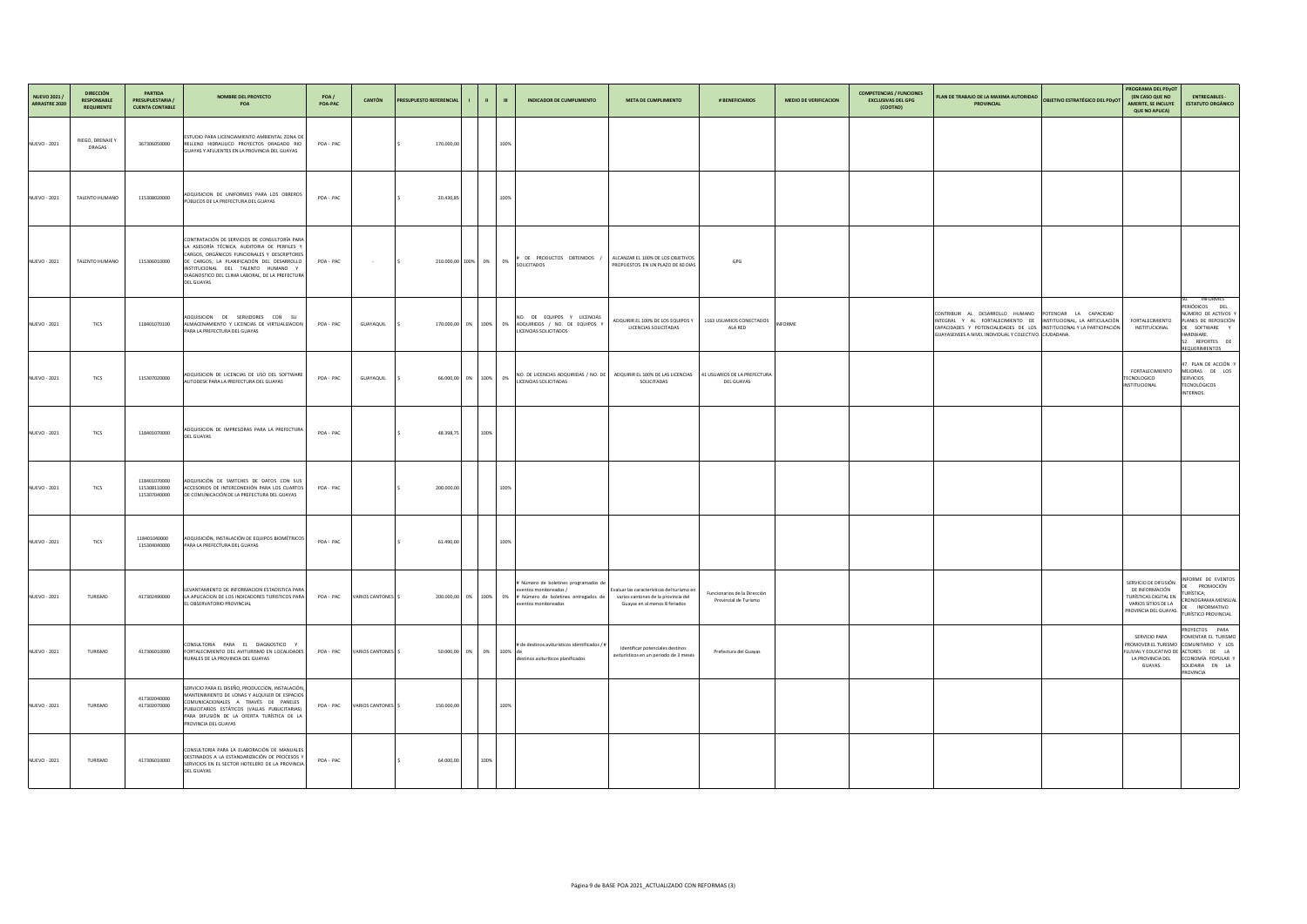| NUEVO 2021 /<br>ARRASTRE 2020 | <b>DIRECCIÓN</b><br><b>RESPONSABLE</b><br><b>REQUIRENTE</b> | <b>PARTIDA</b><br><b>PRESUPUESTARIA</b><br><b>CUENTA CONTABLE</b> | <b>NOMBRE DEL PROYECTO</b><br><b>POA</b>                                                                                                                                                                                                                                                                  | POA /<br>POA-PAC | CANTÓN                       | <b>PRESUPUESTO REFERENCIAL</b> | a matematika            | <b>INDICADOR DE CUMPLIMIENTO</b><br>$\mathbf{m}$                                                                                                         | <b>META DE CUMPLIMIENTO</b>                                                                                        | # BENEFICIARIOS                                       | <b>MEDIO DE VERIFICACION</b> | <b>COMPETENCIAS / FUNCIONES</b><br><b>EXCLUSIVAS DEL GPG</b><br>(COOTAD) | PLAN DE TRABAJO DE LA MAXIMA AUTORIDAD<br><b>OBJETIVO ESTRATÉGICO DEL PDYOT</b><br><b>PROVINCIAL</b>                                                                                                                                                         | PROGRAMA DEL PDyOT<br><b>(EN CASO QUE NO</b><br><b>AMERITE, SE INCLUYE</b><br><b>QUE NO APLICA)</b>                                     | <b>ENTREGABLES -</b><br><b>ESTATUTO ORGÁNICO</b>                                                                                                       |
|-------------------------------|-------------------------------------------------------------|-------------------------------------------------------------------|-----------------------------------------------------------------------------------------------------------------------------------------------------------------------------------------------------------------------------------------------------------------------------------------------------------|------------------|------------------------------|--------------------------------|-------------------------|----------------------------------------------------------------------------------------------------------------------------------------------------------|--------------------------------------------------------------------------------------------------------------------|-------------------------------------------------------|------------------------------|--------------------------------------------------------------------------|--------------------------------------------------------------------------------------------------------------------------------------------------------------------------------------------------------------------------------------------------------------|-----------------------------------------------------------------------------------------------------------------------------------------|--------------------------------------------------------------------------------------------------------------------------------------------------------|
| <b>NUEVO - 2021</b>           | RIEGO, DRENAJE Y<br><b>DRAGAS</b>                           | 367306050000                                                      | ESTUDIO PARA LICENCIAMIENTO AMBIENTAL ZONA DE<br>RELLENO HIDRAULICO PROYECTOS DRAGADO RIO<br>GUAYAS Y AFLUENTES EN LA PROVINCIA DEL GUAYAS                                                                                                                                                                | POA-PAC          |                              | 170.000,00                     |                         | 100%                                                                                                                                                     |                                                                                                                    |                                                       |                              |                                                                          |                                                                                                                                                                                                                                                              |                                                                                                                                         |                                                                                                                                                        |
| <b>NUEVO - 2021</b>           | TALENTO HUMANO                                              | 115308020000                                                      | ADQUISICION DE UNIFORMES PARA LOS OBREROS<br>PÚBLICOS DE LA PREFECTURA DEL GUAYAS                                                                                                                                                                                                                         | POA-PAC          |                              | 20.430,85                      |                         | 100%                                                                                                                                                     |                                                                                                                    |                                                       |                              |                                                                          |                                                                                                                                                                                                                                                              |                                                                                                                                         |                                                                                                                                                        |
| <b>NUEVO - 2021</b>           | TALENTO HUMANO                                              | 115306010000                                                      | CONTRATACIÓN DE SERVICIOS DE CONSULTORÍA PARA<br>LA ASESORÍA TÉCNICA, AUDITORIA DE PERFILES Y<br>CARGOS, ORGÁNICOS FUNCIONALES Y DESCRIPTORES<br>DE CARGOS, LA PLANIFICACIÓN DEL DESARROLLO<br>INSTITUCIONAL DEL TALENTO HUMANO Y<br>DIAGNOSTICO DEL CLIMA LABORAL, DE LA PREFECTURA<br><b>DEL GUAYAS</b> | POA-PAC          | <b>Contract Contract</b>     |                                | 210.000,00 100% 0% 0%   | DE PRODUCTOS OBTENIDOS<br><b>SOLICITADOS</b>                                                                                                             | ALCANZAR EL 100% DE LOS OBJETIVOS<br>PROPUESTOS EN UN PLAZO DE 60 DIAS                                             | GPG                                                   |                              |                                                                          |                                                                                                                                                                                                                                                              |                                                                                                                                         |                                                                                                                                                        |
| <b>NUEVO - 2021</b>           | <b>TICS</b>                                                 | 118401070100                                                      | ADQUISICION DE SERVIDORES CON SU<br>ALMACENAMIENTO Y LICENCIAS DE VIRTUALIZACION<br>PARA LA PREFECTURA DEL GUAYAS                                                                                                                                                                                         | POA-PAC          | GUAYAQUIL                    |                                |                         | NO. DE EQUIPOS Y LICENCIAS<br>170.000,00 0% 100% 0% ADQUIRIDOS / NO. DE EQUIPOS Y<br>LICENCIAS SOLICITADOS                                               | ADQUIRIR EL 100% DE LOS EQUIPOS Y<br>LICENCIAS SOLICITADAS                                                         | 1163 USUARIOS CONECTADOS<br><b>ALA RED</b>            | <b>INFORME</b>               |                                                                          | CONTRIBUIR AL DESARROLLO HUMANO POTENCIAR LA CAPACIDAD<br>INTEGRAL Y AL FORTALECIMIENTO DE INSTITUCIONAL, LA ARTICULACIÓN<br>CAPACIDADES Y POTENCIALIDADES DE LOS INSTITUCIONAL Y LA PARTICIPACIÓN<br>GUAYASENSES A NIVEL INDIVIDUAL Y COLECTIVO. CIUDADANA. | FORTALECIMIENTO<br>INSTITUCIONAL                                                                                                        | <b>INFORMES</b><br>PERIÓDICOS DEL<br>NÚMERO DE ACTIVOS Y<br>PLANES DE REPOSICIÓN<br>DE SOFTWARE Y<br>HARDWARE.<br>REPORTES DE<br><b>REQUERIMIENTOS</b> |
| <b>NUEVO - 2021</b>           | <b>TICS</b>                                                 | 115307020000                                                      | ADQUISICION DE LICENCIAS DE USO DEL SOFTWARE<br>AUTODESK PARA LA PREFECTURA DEL GUAYAS                                                                                                                                                                                                                    | POA-PAC          | GUAYAQUIL                    |                                | 66.000,00 0% 100% 0%    | NO. DE LICENCIAS ADQUIRIDAS / NO. DE   ADQUIRIR EL 100% DE LAS LICENCIAS   41 USUARIOS DE LA PREFECTURA<br>LICENCIAS SOLICITADAS                         | SOLICITADAS                                                                                                        | <b>DEL GUAYAS</b>                                     |                              |                                                                          |                                                                                                                                                                                                                                                              | FORTALECIMIENTO<br><b>TECNOLOGICO</b><br>INSTITUCIONAL                                                                                  | 47. PLAN DE ACCIÓN Y<br>MEJORAS DE LOS<br><b>SERVICIOS</b><br><b>TECNOLÓGICOS</b><br><b>INTERNOS.</b>                                                  |
| <b>NUEVO - 2021</b>           | <b>TICS</b>                                                 | 118401070000                                                      | ADQUISICION DE IMPRESORAS PARA LA PREFECTURA<br><b>DEL GUAYAS</b>                                                                                                                                                                                                                                         | POA-PAC          |                              | 48.398,75                      | 100%                    |                                                                                                                                                          |                                                                                                                    |                                                       |                              |                                                                          |                                                                                                                                                                                                                                                              |                                                                                                                                         |                                                                                                                                                        |
| <b>NUEVO - 2021</b>           | <b>TICS</b>                                                 | 118401070000<br>115308110000<br>115307040000                      | ADQUISICIÓN DE SWITCHES DE DATOS CON SUS<br>ACCESORIOS DE INTERCONEXIÓN PARA LOS CUARTOS<br>DE COMUNICACIÓN DE LA PREFECTURA DEL GUAYAS                                                                                                                                                                   | POA-PAC          |                              | 200.000,00                     |                         | 100%                                                                                                                                                     |                                                                                                                    |                                                       |                              |                                                                          |                                                                                                                                                                                                                                                              |                                                                                                                                         |                                                                                                                                                        |
| <b>NUEVO - 2021</b>           | <b>TICS</b>                                                 | 118401040000<br>115304040000                                      | ADQUISICIÓN, INSTALACIÓN DE EQUIPOS BIOMÉTRICOS<br>PARA LA PREFECTURA DEL GUAYAS                                                                                                                                                                                                                          | POA-PAC          |                              | 61.490,00                      |                         | 100%                                                                                                                                                     |                                                                                                                    |                                                       |                              |                                                                          |                                                                                                                                                                                                                                                              |                                                                                                                                         |                                                                                                                                                        |
| <b>NUEVO - 2021</b>           | <b>TURISMO</b>                                              | 417302490000                                                      | LEVANTAMIENTO DE INFORMACION ESTADISTICA PARA<br> LA APLICACION DE LOS INDICADORES TURISTICOS PARA   POA - PAC   VARIOS CANTONES   \$<br><b>EL OBSERVATORIO PROVINCIAL</b>                                                                                                                                |                  |                              |                                |                         | # Número de boletines programados de<br>eventos monitoreados /<br>$200.000,00$ 0% $100\%$ 0% # Número de boletines entregados de<br>eventos monitoreados | Evaluar las características del turismo en<br>varios cantones de la provincia del<br>Guayas en al menos 8 feriados | Funcionarios de la Dirección<br>Provincial de Turismo |                              |                                                                          |                                                                                                                                                                                                                                                              | SERVICIO DE DIFUSIÓN<br>DE INFORMACIÓN<br>  TURÍSTICAS DIGITAL EN    CRONOGRAMA MENSUAL<br>VARIOS SITIOS DE LA<br>PROVINCIA DEL GUAYAS. | INFORME DE EVENTOS<br>PROMOCIÓN<br>TURÍSTICA;<br>DE INFORMATIVO<br><b>TURÍSTICO PROVINCIAL</b>                                                         |
| <b>NUEVO - 2021</b>           | <b>TURISMO</b>                                              | 417306010000                                                      | CONSULTORIA PARA EL DIAGNOSTICO Y<br>FORTALECIMIENTO DEL AVITURISMO EN LOCALIDADES<br>RURALES DE LA PROVINCIA DEL GUAYAS                                                                                                                                                                                  |                  | POA - PAC VARIOS CANTONES \$ |                                | 50.000,00 0% 0% 100% de | # de destinos aviturísticos identificados / $\#$<br>destinos avituríticos planificados                                                                   | Identificar potenciales destinos<br>aviturísticos en un periodo de 3 meses                                         | Prefectura del Guayas                                 |                              |                                                                          |                                                                                                                                                                                                                                                              | <b>SERVICIO PARA</b><br>FLUVIAL Y EDUCATIVO DE ACTORES DE LA<br>LA PROVINCIA DEL<br>GUAYAS.                                             | PROYECTOS PARA<br>FOMENTAR EL TURISMO<br>PROMOVER EL TURISMO COMUNITARIO Y LOS<br>ECONOMÍA POPULAR Y<br>SOLIDARIA EN LA<br><b>PROVINCIA</b>            |
| <b>NUEVO - 2021</b>           | <b>TURISMO</b>                                              | 417302040000<br>417302070000                                      | SERVICIO PARA EL DISEÑO, PRODUCCION, INSTALACIÓN,<br>MANTENIMIENTO DE LONAS Y ALQUILER DE ESPACIOS<br>COMUNICACIONALES A TRAVÉS DE PANELES<br>PUBLICITARIOS ESTÁTICOS (VALLAS PUBLICITARIAS)<br>PARA DIFUSIÓN DE LA OFERTA TURÍSTICA DE LA<br>PROVINCIA DEL GUAYAS                                        |                  | POA - PAC VARIOS CANTONES \$ | 150.000,00                     |                         | 100%                                                                                                                                                     |                                                                                                                    |                                                       |                              |                                                                          |                                                                                                                                                                                                                                                              |                                                                                                                                         |                                                                                                                                                        |
| <b>NUEVO - 2021</b>           | <b>TURISMO</b>                                              | 417306010000                                                      | CONSULTORIA PARA LA ELABORACIÓN DE MANUALES<br>DESTINADOS A LA ESTANDARIZACIÓN DE PROCESOS Y<br>SERVICIOS EN EL SECTOR HOTELERO DE LA PROVINCIA<br><b>DEL GUAYAS</b>                                                                                                                                      | POA-PAC          |                              | 64.000,00                      | 100%                    |                                                                                                                                                          |                                                                                                                    |                                                       |                              |                                                                          |                                                                                                                                                                                                                                                              |                                                                                                                                         |                                                                                                                                                        |